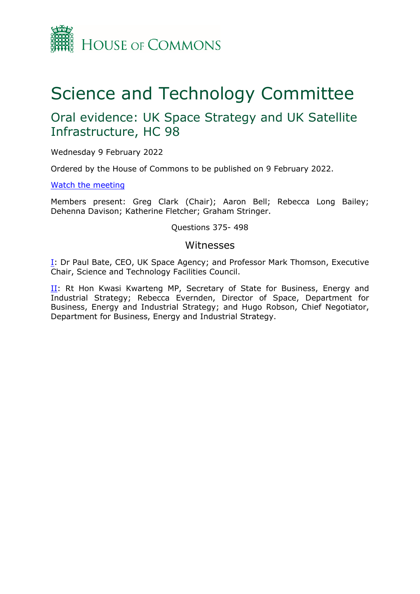

# Science and Technology Committee

## Oral evidence: UK Space Strategy and UK Satellite Infrastructure, HC 98

Wednesday 9 February 2022

Ordered by the House of Commons to be published on 9 February 2022.

[Watch](https://parliamentlive.tv/Event/Index/e2d88cde-0a92-4dbf-978d-e5980a94a7cd) [the](https://parliamentlive.tv/Event/Index/e2d88cde-0a92-4dbf-978d-e5980a94a7cd) [meeting](https://parliamentlive.tv/Event/Index/e2d88cde-0a92-4dbf-978d-e5980a94a7cd)

Members present: Greg Clark (Chair); Aaron Bell; Rebecca Long Bailey; Dehenna Davison; Katherine Fletcher; Graham Stringer.

Questions 375- 498

## Witnesses

[I:](#page-1-0) Dr Paul Bate, CEO, UK Space Agency; and Professor Mark Thomson, Executive Chair, Science and Technology Facilities Council.

II: Rt Hon Kwasi Kwarteng MP, Secretary of State for Business, Energy and Industrial Strategy; Rebecca Evernden, Director of Space, Department for Business, Energy and Industrial Strategy; and Hugo Robson, Chief Negotiator, Department for Business, Energy and Industrial Strategy.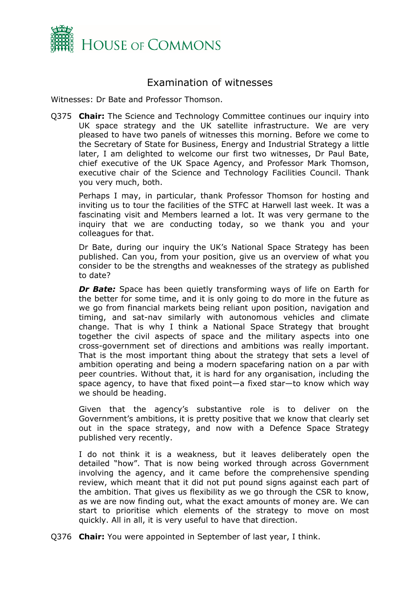

## <span id="page-1-0"></span>Examination of witnesses

Witnesses: Dr Bate and Professor Thomson.

Q375 **Chair:** The Science and Technology Committee continues our inquiry into UK space strategy and the UK satellite infrastructure. We are very pleased to have two panels of witnesses this morning. Before we come to the Secretary of State for Business, Energy and Industrial Strategy a little later, I am delighted to welcome our first two witnesses, Dr Paul Bate, chief executive of the UK Space Agency, and Professor Mark Thomson, executive chair of the Science and Technology Facilities Council. Thank you very much, both.

Perhaps I may, in particular, thank Professor Thomson for hosting and inviting us to tour the facilities of the STFC at Harwell last week. It was a fascinating visit and Members learned a lot. It was very germane to the inquiry that we are conducting today, so we thank you and your colleagues for that.

Dr Bate, during our inquiry the UK's National Space Strategy has been published. Can you, from your position, give us an overview of what you consider to be the strengths and weaknesses of the strategy as published to date?

*Dr Bate:* Space has been quietly transforming ways of life on Earth for the better for some time, and it is only going to do more in the future as we go from financial markets being reliant upon position, navigation and timing, and sat-nav similarly with autonomous vehicles and climate change. That is why I think a National Space Strategy that brought together the civil aspects of space and the military aspects into one cross-government set of directions and ambitions was really important. That is the most important thing about the strategy that sets a level of ambition operating and being a modern spacefaring nation on a par with peer countries. Without that, it is hard for any organisation, including the space agency, to have that fixed point—a fixed star—to know which way we should be heading.

Given that the agency's substantive role is to deliver on the Government's ambitions, it is pretty positive that we know that clearly set out in the space strategy, and now with a Defence Space Strategy published very recently.

I do not think it is a weakness, but it leaves deliberately open the detailed "how". That is now being worked through across Government involving the agency, and it came before the comprehensive spending review, which meant that it did not put pound signs against each part of the ambition. That gives us flexibility as we go through the CSR to know, as we are now finding out, what the exact amounts of money are. We can start to prioritise which elements of the strategy to move on most quickly. All in all, it is very useful to have that direction.

Q376 **Chair:** You were appointed in September of last year, I think.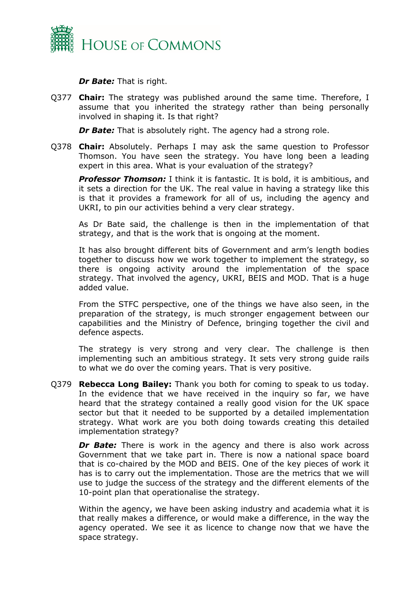

*Dr Bate:* That is right.

Q377 **Chair:** The strategy was published around the same time. Therefore, I assume that you inherited the strategy rather than being personally involved in shaping it. Is that right?

*Dr Bate:* That is absolutely right. The agency had a strong role.

Q378 **Chair:** Absolutely. Perhaps I may ask the same question to Professor Thomson. You have seen the strategy. You have long been a leading expert in this area. What is your evaluation of the strategy?

*Professor Thomson:* I think it is fantastic. It is bold, it is ambitious, and it sets a direction for the UK. The real value in having a strategy like this is that it provides a framework for all of us, including the agency and UKRI, to pin our activities behind a very clear strategy.

As Dr Bate said, the challenge is then in the implementation of that strategy, and that is the work that is ongoing at the moment.

It has also brought different bits of Government and arm's length bodies together to discuss how we work together to implement the strategy, so there is ongoing activity around the implementation of the space strategy. That involved the agency, UKRI, BEIS and MOD. That is a huge added value.

From the STFC perspective, one of the things we have also seen, in the preparation of the strategy, is much stronger engagement between our capabilities and the Ministry of Defence, bringing together the civil and defence aspects.

The strategy is very strong and very clear. The challenge is then implementing such an ambitious strategy. It sets very strong guide rails to what we do over the coming years. That is very positive.

Q379 **Rebecca Long Bailey:** Thank you both for coming to speak to us today. In the evidence that we have received in the inquiry so far, we have heard that the strategy contained a really good vision for the UK space sector but that it needed to be supported by a detailed implementation strategy. What work are you both doing towards creating this detailed implementation strategy?

**Dr Bate:** There is work in the agency and there is also work across Government that we take part in. There is now a national space board that is co-chaired by the MOD and BEIS. One of the key pieces of work it has is to carry out the implementation. Those are the metrics that we will use to judge the success of the strategy and the different elements of the 10-point plan that operationalise the strategy.

Within the agency, we have been asking industry and academia what it is that really makes a difference, or would make a difference, in the way the agency operated. We see it as licence to change now that we have the space strategy.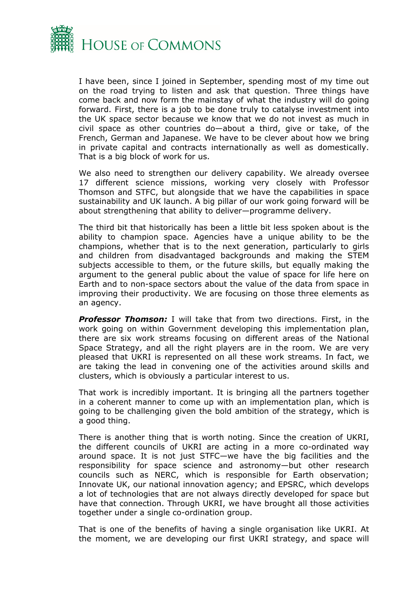

I have been, since I joined in September, spending most of my time out on the road trying to listen and ask that question. Three things have come back and now form the mainstay of what the industry will do going forward. First, there is a job to be done truly to catalyse investment into the UK space sector because we know that we do not invest as much in civil space as other countries do—about a third, give or take, of the French, German and Japanese. We have to be clever about how we bring in private capital and contracts internationally as well as domestically. That is a big block of work for us.

We also need to strengthen our delivery capability. We already oversee 17 different science missions, working very closely with Professor Thomson and STFC, but alongside that we have the capabilities in space sustainability and UK launch. A big pillar of our work going forward will be about strengthening that ability to deliver—programme delivery.

The third bit that historically has been a little bit less spoken about is the ability to champion space. Agencies have a unique ability to be the champions, whether that is to the next generation, particularly to girls and children from disadvantaged backgrounds and making the STEM subjects accessible to them, or the future skills, but equally making the argument to the general public about the value of space for life here on Earth and to non-space sectors about the value of the data from space in improving their productivity. We are focusing on those three elements as an agency.

*Professor Thomson:* I will take that from two directions. First, in the work going on within Government developing this implementation plan, there are six work streams focusing on different areas of the National Space Strategy, and all the right players are in the room. We are very pleased that UKRI is represented on all these work streams. In fact, we are taking the lead in convening one of the activities around skills and clusters, which is obviously a particular interest to us.

That work is incredibly important. It is bringing all the partners together in a coherent manner to come up with an implementation plan, which is going to be challenging given the bold ambition of the strategy, which is a good thing.

There is another thing that is worth noting. Since the creation of UKRI, the different councils of UKRI are acting in a more co-ordinated way around space. It is not just STFC—we have the big facilities and the responsibility for space science and astronomy—but other research councils such as NERC, which is responsible for Earth observation; Innovate UK, our national innovation agency; and EPSRC, which develops a lot of technologies that are not always directly developed for space but have that connection. Through UKRI, we have brought all those activities together under a single co-ordination group.

That is one of the benefits of having a single organisation like UKRI. At the moment, we are developing our first UKRI strategy, and space will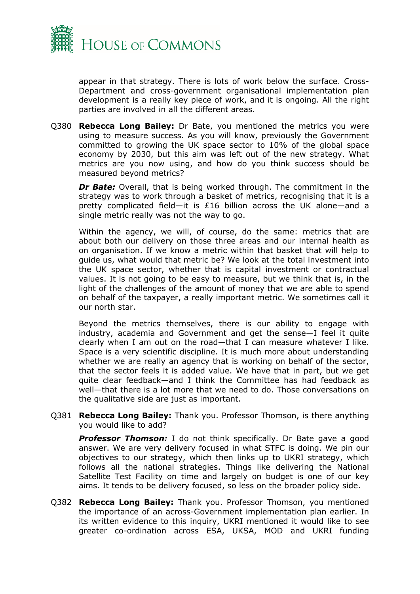

appear in that strategy. There is lots of work below the surface. Cross-Department and cross-government organisational implementation plan development is a really key piece of work, and it is ongoing. All the right parties are involved in all the different areas.

Q380 **Rebecca Long Bailey:** Dr Bate, you mentioned the metrics you were using to measure success. As you will know, previously the Government committed to growing the UK space sector to 10% of the global space economy by 2030, but this aim was left out of the new strategy. What metrics are you now using, and how do you think success should be measured beyond metrics?

*Dr Bate:* Overall, that is being worked through. The commitment in the strategy was to work through a basket of metrics, recognising that it is a pretty complicated field—it is £16 billion across the UK alone—and a single metric really was not the way to go.

Within the agency, we will, of course, do the same: metrics that are about both our delivery on those three areas and our internal health as on organisation. If we know a metric within that basket that will help to guide us, what would that metric be? We look at the total investment into the UK space sector, whether that is capital investment or contractual values. It is not going to be easy to measure, but we think that is, in the light of the challenges of the amount of money that we are able to spend on behalf of the taxpayer, a really important metric. We sometimes call it our north star.

Beyond the metrics themselves, there is our ability to engage with industry, academia and Government and get the sense—I feel it quite clearly when I am out on the road—that I can measure whatever I like. Space is a very scientific discipline. It is much more about understanding whether we are really an agency that is working on behalf of the sector, that the sector feels it is added value. We have that in part, but we get quite clear feedback—and I think the Committee has had feedback as well—that there is a lot more that we need to do. Those conversations on the qualitative side are just as important.

Q381 **Rebecca Long Bailey:** Thank you. Professor Thomson, is there anything you would like to add?

**Professor Thomson:** I do not think specifically. Dr Bate gave a good answer. We are very delivery focused in what STFC is doing. We pin our objectives to our strategy, which then links up to UKRI strategy, which follows all the national strategies. Things like delivering the National Satellite Test Facility on time and largely on budget is one of our key aims. It tends to be delivery focused, so less on the broader policy side.

Q382 **Rebecca Long Bailey:** Thank you. Professor Thomson, you mentioned the importance of an across-Government implementation plan earlier. In its written evidence to this inquiry, UKRI mentioned it would like to see greater co-ordination across ESA, UKSA, MOD and UKRI funding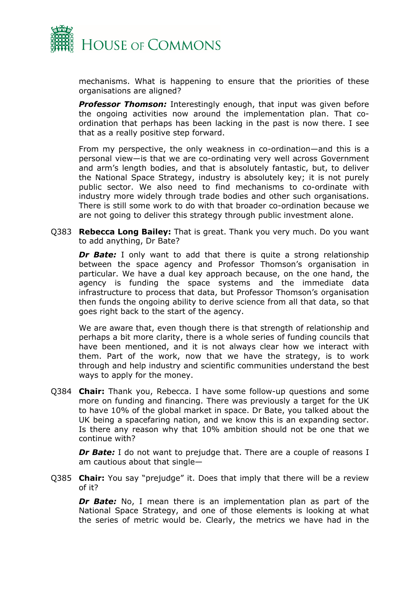

mechanisms. What is happening to ensure that the priorities of these organisations are aligned?

**Professor Thomson:** Interestingly enough, that input was given before the ongoing activities now around the implementation plan. That coordination that perhaps has been lacking in the past is now there. I see that as a really positive step forward.

From my perspective, the only weakness in co-ordination—and this is a personal view—is that we are co-ordinating very well across Government and arm's length bodies, and that is absolutely fantastic, but, to deliver the National Space Strategy, industry is absolutely key; it is not purely public sector. We also need to find mechanisms to co-ordinate with industry more widely through trade bodies and other such organisations. There is still some work to do with that broader co-ordination because we are not going to deliver this strategy through public investment alone.

Q383 **Rebecca Long Bailey:** That is great. Thank you very much. Do you want to add anything, Dr Bate?

**Dr Bate:** I only want to add that there is quite a strong relationship between the space agency and Professor Thomson's organisation in particular. We have a dual key approach because, on the one hand, the agency is funding the space systems and the immediate data infrastructure to process that data, but Professor Thomson's organisation then funds the ongoing ability to derive science from all that data, so that goes right back to the start of the agency.

We are aware that, even though there is that strength of relationship and perhaps a bit more clarity, there is a whole series of funding councils that have been mentioned, and it is not always clear how we interact with them. Part of the work, now that we have the strategy, is to work through and help industry and scientific communities understand the best ways to apply for the money.

Q384 **Chair:** Thank you, Rebecca. I have some follow-up questions and some more on funding and financing. There was previously a target for the UK to have 10% of the global market in space. Dr Bate, you talked about the UK being a spacefaring nation, and we know this is an expanding sector. Is there any reason why that 10% ambition should not be one that we continue with?

*Dr Bate:* I do not want to prejudge that. There are a couple of reasons I am cautious about that single—

Q385 **Chair:** You say "prejudge" it. Does that imply that there will be a review of it?

*Dr Bate:* No, I mean there is an implementation plan as part of the National Space Strategy, and one of those elements is looking at what the series of metric would be. Clearly, the metrics we have had in the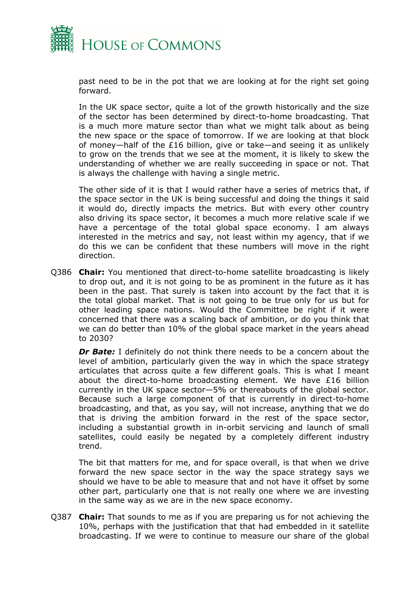

past need to be in the pot that we are looking at for the right set going forward.

In the UK space sector, quite a lot of the growth historically and the size of the sector has been determined by direct-to-home broadcasting. That is a much more mature sector than what we might talk about as being the new space or the space of tomorrow. If we are looking at that block of money—half of the £16 billion, give or take—and seeing it as unlikely to grow on the trends that we see at the moment, it is likely to skew the understanding of whether we are really succeeding in space or not. That is always the challenge with having a single metric.

The other side of it is that I would rather have a series of metrics that, if the space sector in the UK is being successful and doing the things it said it would do, directly impacts the metrics. But with every other country also driving its space sector, it becomes a much more relative scale if we have a percentage of the total global space economy. I am always interested in the metrics and say, not least within my agency, that if we do this we can be confident that these numbers will move in the right direction.

Q386 **Chair:** You mentioned that direct-to-home satellite broadcasting is likely to drop out, and it is not going to be as prominent in the future as it has been in the past. That surely is taken into account by the fact that it is the total global market. That is not going to be true only for us but for other leading space nations. Would the Committee be right if it were concerned that there was a scaling back of ambition, or do you think that we can do better than 10% of the global space market in the years ahead to 2030?

*Dr Bate:* I definitely do not think there needs to be a concern about the level of ambition, particularly given the way in which the space strategy articulates that across quite a few different goals. This is what I meant about the direct-to-home broadcasting element. We have £16 billion currently in the UK space sector—5% or thereabouts of the global sector. Because such a large component of that is currently in direct-to-home broadcasting, and that, as you say, will not increase, anything that we do that is driving the ambition forward in the rest of the space sector, including a substantial growth in in-orbit servicing and launch of small satellites, could easily be negated by a completely different industry trend.

The bit that matters for me, and for space overall, is that when we drive forward the new space sector in the way the space strategy says we should we have to be able to measure that and not have it offset by some other part, particularly one that is not really one where we are investing in the same way as we are in the new space economy.

Q387 **Chair:** That sounds to me as if you are preparing us for not achieving the 10%, perhaps with the justification that that had embedded in it satellite broadcasting. If we were to continue to measure our share of the global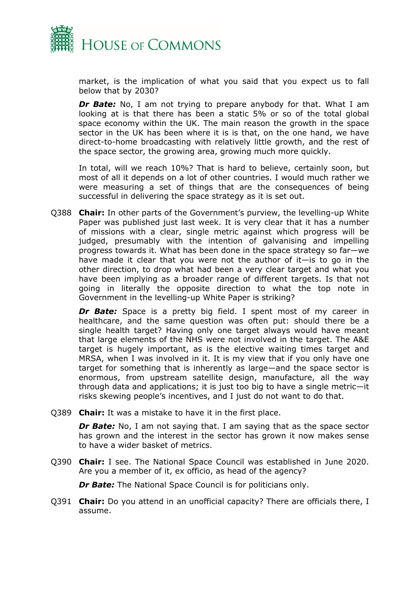

market, is the implication of what you said that you expect us to fall below that by 2030?

**Dr Bate:** No, I am not trying to prepare anybody for that. What I am looking at is that there has been a static 5% or so of the total global space economy within the UK. The main reason the growth in the space sector in the UK has been where it is is that, on the one hand, we have direct-to-home broadcasting with relatively little growth, and the rest of the space sector, the growing area, growing much more quickly.

In total, will we reach 10%? That is hard to believe, certainly soon, but most of all it depends on a lot of other countries. I would much rather we were measuring a set of things that are the consequences of being successful in delivering the space strategy as it is set out.

Q388 **Chair:** In other parts of the Government's purview, the levelling-up White Paper was published just last week. It is very clear that it has a number of missions with a clear, single metric against which progress will be judged, presumably with the intention of galvanising and impelling progress towards it. What has been done in the space strategy so far—we have made it clear that you were not the author of it—is to go in the other direction, to drop what had been a very clear target and what you have been implying as a broader range of different targets. Is that not going in literally the opposite direction to what the top note in Government in the levelling-up White Paper is striking?

**Dr Bate:** Space is a pretty big field. I spent most of my career in healthcare, and the same question was often put: should there be a single health target? Having only one target always would have meant that large elements of the NHS were not involved in the target. The A&E target is hugely important, as is the elective waiting times target and MRSA, when I was involved in it. It is my view that if you only have one target for something that is inherently as large—and the space sector is enormous, from upstream satellite design, manufacture, all the way through data and applications; it is just too big to have a single metric—it risks skewing people's incentives, and I just do not want to do that.

Q389 **Chair:** It was a mistake to have it in the first place.

*Dr Bate:* No, I am not saying that. I am saying that as the space sector has grown and the interest in the sector has grown it now makes sense to have a wider basket of metrics.

Q390 **Chair:** I see. The National Space Council was established in June 2020. Are you a member of it, ex officio, as head of the agency?

*Dr Bate:* The National Space Council is for politicians only.

Q391 **Chair:** Do you attend in an unofficial capacity? There are officials there, I assume.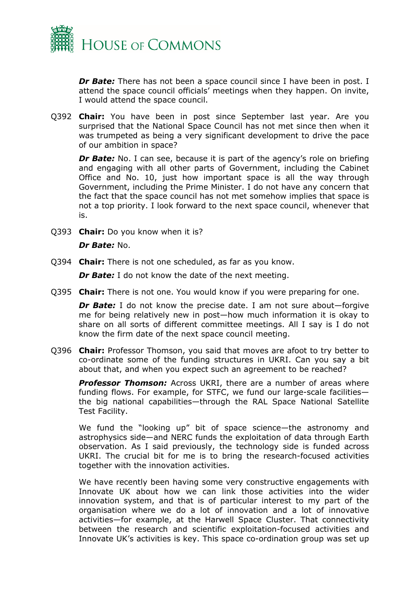

*Dr Bate:* There has not been a space council since I have been in post. I attend the space council officials' meetings when they happen. On invite, I would attend the space council.

Q392 **Chair:** You have been in post since September last year. Are you surprised that the National Space Council has not met since then when it was trumpeted as being a very significant development to drive the pace of our ambition in space?

*Dr Bate:* No. I can see, because it is part of the agency's role on briefing and engaging with all other parts of Government, including the Cabinet Office and No. 10, just how important space is all the way through Government, including the Prime Minister. I do not have any concern that the fact that the space council has not met somehow implies that space is not a top priority. I look forward to the next space council, whenever that is.

Q393 **Chair:** Do you know when it is?

### *Dr Bate:* No.

Q394 **Chair:** There is not one scheduled, as far as you know.

*Dr Bate:* I do not know the date of the next meeting.

Q395 **Chair:** There is not one. You would know if you were preparing for one.

*Dr Bate:* I do not know the precise date. I am not sure about—forgive me for being relatively new in post—how much information it is okay to share on all sorts of different committee meetings. All I say is I do not know the firm date of the next space council meeting.

Q396 **Chair:** Professor Thomson, you said that moves are afoot to try better to co-ordinate some of the funding structures in UKRI. Can you say a bit about that, and when you expect such an agreement to be reached?

**Professor Thomson:** Across UKRI, there are a number of areas where funding flows. For example, for STFC, we fund our large-scale facilities the big national capabilities—through the RAL Space National Satellite Test Facility.

We fund the "looking up" bit of space science—the astronomy and astrophysics side—and NERC funds the exploitation of data through Earth observation. As I said previously, the technology side is funded across UKRI. The crucial bit for me is to bring the research-focused activities together with the innovation activities.

We have recently been having some very constructive engagements with Innovate UK about how we can link those activities into the wider innovation system, and that is of particular interest to my part of the organisation where we do a lot of innovation and a lot of innovative activities—for example, at the Harwell Space Cluster. That connectivity between the research and scientific exploitation-focused activities and Innovate UK's activities is key. This space co-ordination group was set up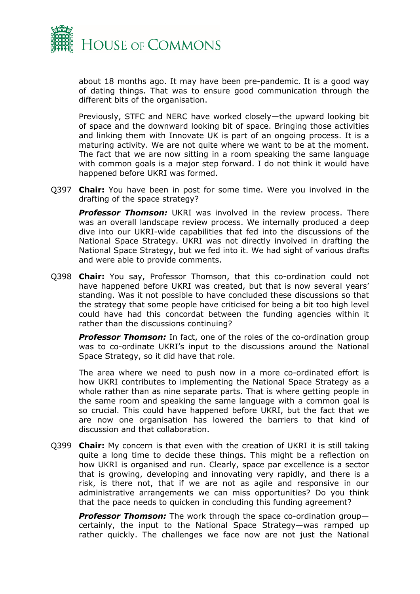

about 18 months ago. It may have been pre-pandemic. It is a good way of dating things. That was to ensure good communication through the different bits of the organisation.

Previously, STFC and NERC have worked closely—the upward looking bit of space and the downward looking bit of space. Bringing those activities and linking them with Innovate UK is part of an ongoing process. It is a maturing activity. We are not quite where we want to be at the moment. The fact that we are now sitting in a room speaking the same language with common goals is a major step forward. I do not think it would have happened before UKRI was formed.

Q397 **Chair:** You have been in post for some time. Were you involved in the drafting of the space strategy?

**Professor Thomson:** UKRI was involved in the review process. There was an overall landscape review process. We internally produced a deep dive into our UKRI-wide capabilities that fed into the discussions of the National Space Strategy. UKRI was not directly involved in drafting the National Space Strategy, but we fed into it. We had sight of various drafts and were able to provide comments.

Q398 **Chair:** You say, Professor Thomson, that this co-ordination could not have happened before UKRI was created, but that is now several years' standing. Was it not possible to have concluded these discussions so that the strategy that some people have criticised for being a bit too high level could have had this concordat between the funding agencies within it rather than the discussions continuing?

**Professor Thomson:** In fact, one of the roles of the co-ordination group was to co-ordinate UKRI's input to the discussions around the National Space Strategy, so it did have that role.

The area where we need to push now in a more co-ordinated effort is how UKRI contributes to implementing the National Space Strategy as a whole rather than as nine separate parts. That is where getting people in the same room and speaking the same language with a common goal is so crucial. This could have happened before UKRI, but the fact that we are now one organisation has lowered the barriers to that kind of discussion and that collaboration.

Q399 **Chair:** My concern is that even with the creation of UKRI it is still taking quite a long time to decide these things. This might be a reflection on how UKRI is organised and run. Clearly, space par excellence is a sector that is growing, developing and innovating very rapidly, and there is a risk, is there not, that if we are not as agile and responsive in our administrative arrangements we can miss opportunities? Do you think that the pace needs to quicken in concluding this funding agreement?

*Professor Thomson:* The work through the space co-ordination group certainly, the input to the National Space Strategy—was ramped up rather quickly. The challenges we face now are not just the National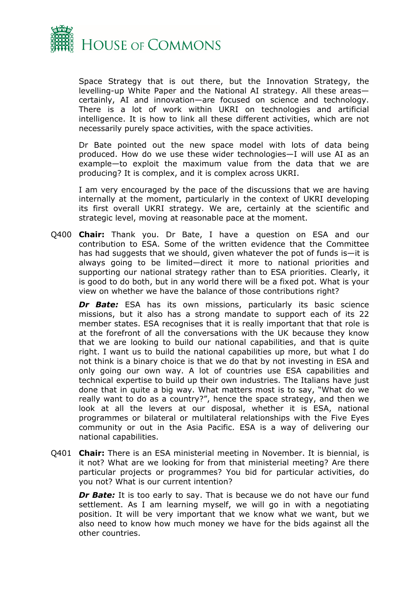

Space Strategy that is out there, but the Innovation Strategy, the levelling-up White Paper and the National AI strategy. All these areas certainly, AI and innovation—are focused on science and technology. There is a lot of work within UKRI on technologies and artificial intelligence. It is how to link all these different activities, which are not necessarily purely space activities, with the space activities.

Dr Bate pointed out the new space model with lots of data being produced. How do we use these wider technologies—I will use AI as an example—to exploit the maximum value from the data that we are producing? It is complex, and it is complex across UKRI.

I am very encouraged by the pace of the discussions that we are having internally at the moment, particularly in the context of UKRI developing its first overall UKRI strategy. We are, certainly at the scientific and strategic level, moving at reasonable pace at the moment.

Q400 **Chair:** Thank you. Dr Bate, I have a question on ESA and our contribution to ESA. Some of the written evidence that the Committee has had suggests that we should, given whatever the pot of funds is—it is always going to be limited—direct it more to national priorities and supporting our national strategy rather than to ESA priorities. Clearly, it is good to do both, but in any world there will be a fixed pot. What is your view on whether we have the balance of those contributions right?

**Dr Bate:** ESA has its own missions, particularly its basic science missions, but it also has a strong mandate to support each of its 22 member states. ESA recognises that it is really important that that role is at the forefront of all the conversations with the UK because they know that we are looking to build our national capabilities, and that is quite right. I want us to build the national capabilities up more, but what I do not think is a binary choice is that we do that by not investing in ESA and only going our own way. A lot of countries use ESA capabilities and technical expertise to build up their own industries. The Italians have just done that in quite a big way. What matters most is to say, "What do we really want to do as a country?", hence the space strategy, and then we look at all the levers at our disposal, whether it is ESA, national programmes or bilateral or multilateral relationships with the Five Eyes community or out in the Asia Pacific. ESA is a way of delivering our national capabilities.

Q401 **Chair:** There is an ESA ministerial meeting in November. It is biennial, is it not? What are we looking for from that ministerial meeting? Are there particular projects or programmes? You bid for particular activities, do you not? What is our current intention?

**Dr Bate:** It is too early to say. That is because we do not have our fund settlement. As I am learning myself, we will go in with a negotiating position. It will be very important that we know what we want, but we also need to know how much money we have for the bids against all the other countries.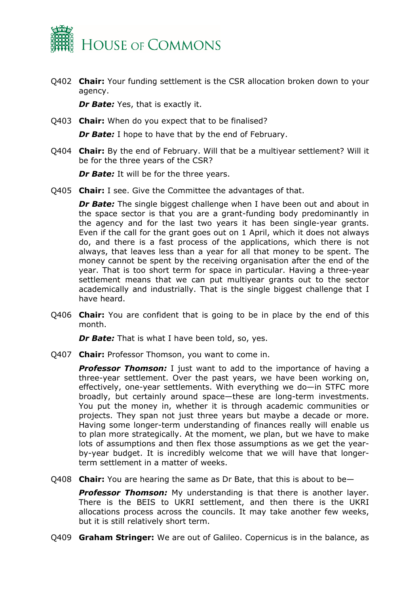

Q402 **Chair:** Your funding settlement is the CSR allocation broken down to your agency.

*Dr Bate:* Yes, that is exactly it.

Q403 **Chair:** When do you expect that to be finalised?

*Dr Bate:* I hope to have that by the end of February.

Q404 **Chair:** By the end of February. Will that be a multiyear settlement? Will it be for the three years of the CSR?

*Dr Bate:* It will be for the three years.

Q405 **Chair:** I see. Give the Committee the advantages of that.

*Dr Bate:* The single biggest challenge when I have been out and about in the space sector is that you are a grant-funding body predominantly in the agency and for the last two years it has been single-year grants. Even if the call for the grant goes out on 1 April, which it does not always do, and there is a fast process of the applications, which there is not always, that leaves less than a year for all that money to be spent. The money cannot be spent by the receiving organisation after the end of the year. That is too short term for space in particular. Having a three-year settlement means that we can put multiyear grants out to the sector academically and industrially. That is the single biggest challenge that I have heard.

Q406 **Chair:** You are confident that is going to be in place by the end of this month.

*Dr Bate:* That is what I have been told, so, yes.

Q407 **Chair:** Professor Thomson, you want to come in.

**Professor Thomson:** I just want to add to the importance of having a three-year settlement. Over the past years, we have been working on, effectively, one-year settlements. With everything we do—in STFC more broadly, but certainly around space—these are long-term investments. You put the money in, whether it is through academic communities or projects. They span not just three years but maybe a decade or more. Having some longer-term understanding of finances really will enable us to plan more strategically. At the moment, we plan, but we have to make lots of assumptions and then flex those assumptions as we get the yearby-year budget. It is incredibly welcome that we will have that longerterm settlement in a matter of weeks.

Q408 **Chair:** You are hearing the same as Dr Bate, that this is about to be—

**Professor Thomson:** My understanding is that there is another layer. There is the BEIS to UKRI settlement, and then there is the UKRI allocations process across the councils. It may take another few weeks, but it is still relatively short term.

Q409 **Graham Stringer:** We are out of Galileo. Copernicus is in the balance, as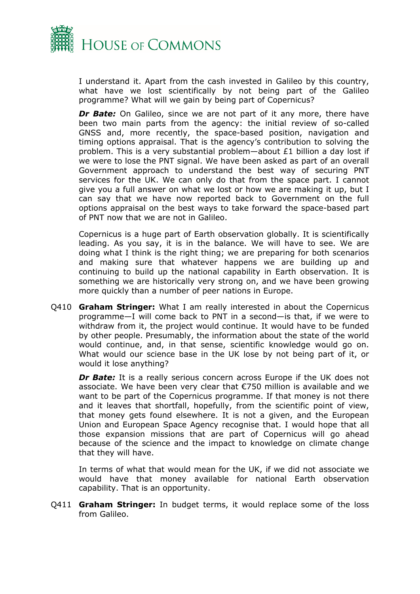

I understand it. Apart from the cash invested in Galileo by this country, what have we lost scientifically by not being part of the Galileo programme? What will we gain by being part of Copernicus?

**Dr Bate:** On Galileo, since we are not part of it any more, there have been two main parts from the agency: the initial review of so-called GNSS and, more recently, the space-based position, navigation and timing options appraisal. That is the agency's contribution to solving the problem. This is a very substantial problem—about £1 billion a day lost if we were to lose the PNT signal. We have been asked as part of an overall Government approach to understand the best way of securing PNT services for the UK. We can only do that from the space part. I cannot give you a full answer on what we lost or how we are making it up, but I can say that we have now reported back to Government on the full options appraisal on the best ways to take forward the space-based part of PNT now that we are not in Galileo.

Copernicus is a huge part of Earth observation globally. It is scientifically leading. As you say, it is in the balance. We will have to see. We are doing what I think is the right thing; we are preparing for both scenarios and making sure that whatever happens we are building up and continuing to build up the national capability in Earth observation. It is something we are historically very strong on, and we have been growing more quickly than a number of peer nations in Europe.

Q410 **Graham Stringer:** What I am really interested in about the Copernicus programme—I will come back to PNT in a second—is that, if we were to withdraw from it, the project would continue. It would have to be funded by other people. Presumably, the information about the state of the world would continue, and, in that sense, scientific knowledge would go on. What would our science base in the UK lose by not being part of it, or would it lose anything?

*Dr Bate:* It is a really serious concern across Europe if the UK does not associate. We have been very clear that €750 million is available and we want to be part of the Copernicus programme. If that money is not there and it leaves that shortfall, hopefully, from the scientific point of view, that money gets found elsewhere. It is not a given, and the European Union and European Space Agency recognise that. I would hope that all those expansion missions that are part of Copernicus will go ahead because of the science and the impact to knowledge on climate change that they will have.

In terms of what that would mean for the UK, if we did not associate we would have that money available for national Earth observation capability. That is an opportunity.

Q411 **Graham Stringer:** In budget terms, it would replace some of the loss from Galileo.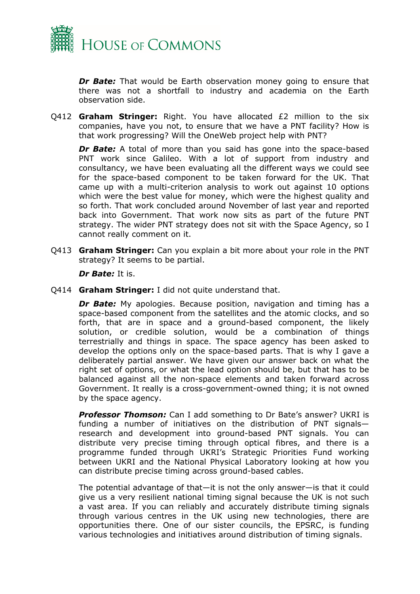

**Dr Bate:** That would be Earth observation money going to ensure that there was not a shortfall to industry and academia on the Earth observation side.

Q412 **Graham Stringer:** Right. You have allocated £2 million to the six companies, have you not, to ensure that we have a PNT facility? How is that work progressing? Will the OneWeb project help with PNT?

*Dr Bate:* A total of more than you said has gone into the space-based PNT work since Galileo. With a lot of support from industry and consultancy, we have been evaluating all the different ways we could see for the space-based component to be taken forward for the UK. That came up with a multi-criterion analysis to work out against 10 options which were the best value for money, which were the highest quality and so forth. That work concluded around November of last year and reported back into Government. That work now sits as part of the future PNT strategy. The wider PNT strategy does not sit with the Space Agency, so I cannot really comment on it.

Q413 **Graham Stringer:** Can you explain a bit more about your role in the PNT strategy? It seems to be partial.

*Dr Bate:* It is.

Q414 **Graham Stringer:** I did not quite understand that.

**Dr Bate:** My apologies. Because position, navigation and timing has a space-based component from the satellites and the atomic clocks, and so forth, that are in space and a ground-based component, the likely solution, or credible solution, would be a combination of things terrestrially and things in space. The space agency has been asked to develop the options only on the space-based parts. That is why I gave a deliberately partial answer. We have given our answer back on what the right set of options, or what the lead option should be, but that has to be balanced against all the non-space elements and taken forward across Government. It really is a cross-government-owned thing; it is not owned by the space agency.

*Professor Thomson:* Can I add something to Dr Bate's answer? UKRI is funding a number of initiatives on the distribution of PNT signals research and development into ground-based PNT signals. You can distribute very precise timing through optical fibres, and there is a programme funded through UKRI's Strategic Priorities Fund working between UKRI and the National Physical Laboratory looking at how you can distribute precise timing across ground-based cables.

The potential advantage of that—it is not the only answer—is that it could give us a very resilient national timing signal because the UK is not such a vast area. If you can reliably and accurately distribute timing signals through various centres in the UK using new technologies, there are opportunities there. One of our sister councils, the EPSRC, is funding various technologies and initiatives around distribution of timing signals.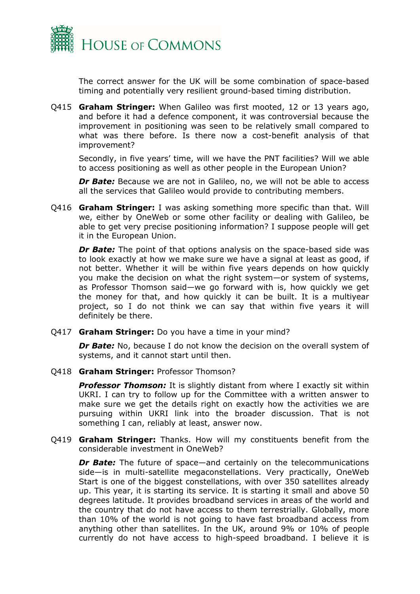

The correct answer for the UK will be some combination of space-based timing and potentially very resilient ground-based timing distribution.

Q415 **Graham Stringer:** When Galileo was first mooted, 12 or 13 years ago, and before it had a defence component, it was controversial because the improvement in positioning was seen to be relatively small compared to what was there before. Is there now a cost-benefit analysis of that improvement?

Secondly, in five years' time, will we have the PNT facilities? Will we able to access positioning as well as other people in the European Union?

*Dr Bate:* Because we are not in Galileo, no, we will not be able to access all the services that Galileo would provide to contributing members.

Q416 **Graham Stringer:** I was asking something more specific than that. Will we, either by OneWeb or some other facility or dealing with Galileo, be able to get very precise positioning information? I suppose people will get it in the European Union.

*Dr Bate:* The point of that options analysis on the space-based side was to look exactly at how we make sure we have a signal at least as good, if not better. Whether it will be within five years depends on how quickly you make the decision on what the right system—or system of systems, as Professor Thomson said—we go forward with is, how quickly we get the money for that, and how quickly it can be built. It is a multiyear project, so I do not think we can say that within five years it will definitely be there.

Q417 **Graham Stringer:** Do you have a time in your mind?

**Dr Bate:** No, because I do not know the decision on the overall system of systems, and it cannot start until then.

Q418 **Graham Stringer:** Professor Thomson?

**Professor Thomson:** It is slightly distant from where I exactly sit within UKRI. I can try to follow up for the Committee with a written answer to make sure we get the details right on exactly how the activities we are pursuing within UKRI link into the broader discussion. That is not something I can, reliably at least, answer now.

Q419 **Graham Stringer:** Thanks. How will my constituents benefit from the considerable investment in OneWeb?

*Dr Bate:* The future of space—and certainly on the telecommunications side—is in multi-satellite megaconstellations. Very practically, OneWeb Start is one of the biggest constellations, with over 350 satellites already up. This year, it is starting its service. It is starting it small and above 50 degrees latitude. It provides broadband services in areas of the world and the country that do not have access to them terrestrially. Globally, more than 10% of the world is not going to have fast broadband access from anything other than satellites. In the UK, around 9% or 10% of people currently do not have access to high-speed broadband. I believe it is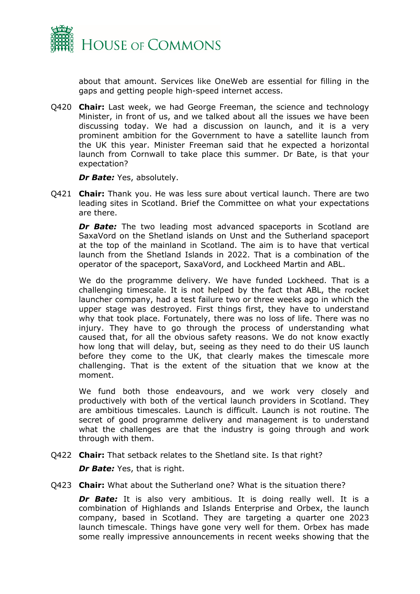

about that amount. Services like OneWeb are essential for filling in the gaps and getting people high-speed internet access.

Q420 **Chair:** Last week, we had George Freeman, the science and technology Minister, in front of us, and we talked about all the issues we have been discussing today. We had a discussion on launch, and it is a very prominent ambition for the Government to have a satellite launch from the UK this year. Minister Freeman said that he expected a horizontal launch from Cornwall to take place this summer. Dr Bate, is that your expectation?

*Dr Bate:* Yes, absolutely.

Q421 **Chair:** Thank you. He was less sure about vertical launch. There are two leading sites in Scotland. Brief the Committee on what your expectations are there.

**Dr Bate:** The two leading most advanced spaceports in Scotland are SaxaVord on the Shetland islands on Unst and the Sutherland spaceport at the top of the mainland in Scotland. The aim is to have that vertical launch from the Shetland Islands in 2022. That is a combination of the operator of the spaceport, SaxaVord, and Lockheed Martin and ABL.

We do the programme delivery. We have funded Lockheed. That is a challenging timescale. It is not helped by the fact that ABL, the rocket launcher company, had a test failure two or three weeks ago in which the upper stage was destroyed. First things first, they have to understand why that took place. Fortunately, there was no loss of life. There was no injury. They have to go through the process of understanding what caused that, for all the obvious safety reasons. We do not know exactly how long that will delay, but, seeing as they need to do their US launch before they come to the UK, that clearly makes the timescale more challenging. That is the extent of the situation that we know at the moment.

We fund both those endeavours, and we work very closely and productively with both of the vertical launch providers in Scotland. They are ambitious timescales. Launch is difficult. Launch is not routine. The secret of good programme delivery and management is to understand what the challenges are that the industry is going through and work through with them.

Q422 **Chair:** That setback relates to the Shetland site. Is that right?

*Dr Bate:* Yes, that is right.

Q423 **Chair:** What about the Sutherland one? What is the situation there?

*Dr Bate:* It is also very ambitious. It is doing really well. It is a combination of Highlands and Islands Enterprise and Orbex, the launch company, based in Scotland. They are targeting a quarter one 2023 launch timescale. Things have gone very well for them. Orbex has made some really impressive announcements in recent weeks showing that the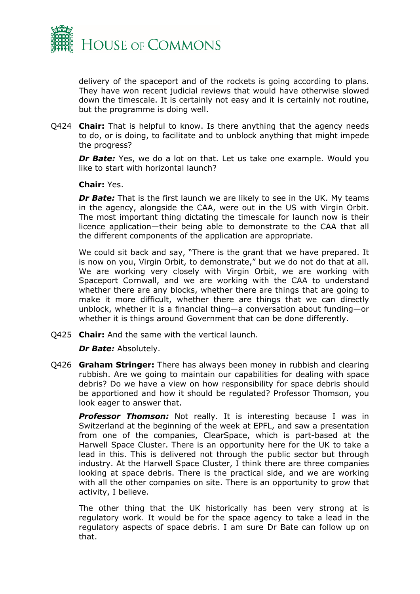

delivery of the spaceport and of the rockets is going according to plans. They have won recent judicial reviews that would have otherwise slowed down the timescale. It is certainly not easy and it is certainly not routine, but the programme is doing well.

Q424 **Chair:** That is helpful to know. Is there anything that the agency needs to do, or is doing, to facilitate and to unblock anything that might impede the progress?

*Dr Bate:* Yes, we do a lot on that. Let us take one example. Would you like to start with horizontal launch?

### **Chair:** Yes.

*Dr Bate:* That is the first launch we are likely to see in the UK. My teams in the agency, alongside the CAA, were out in the US with Virgin Orbit. The most important thing dictating the timescale for launch now is their licence application—their being able to demonstrate to the CAA that all the different components of the application are appropriate.

We could sit back and say, "There is the grant that we have prepared. It is now on you, Virgin Orbit, to demonstrate," but we do not do that at all. We are working very closely with Virgin Orbit, we are working with Spaceport Cornwall, and we are working with the CAA to understand whether there are any blocks, whether there are things that are going to make it more difficult, whether there are things that we can directly unblock, whether it is a financial thing—a conversation about funding—or whether it is things around Government that can be done differently.

Q425 **Chair:** And the same with the vertical launch.

*Dr Bate:* Absolutely.

Q426 **Graham Stringer:** There has always been money in rubbish and clearing rubbish. Are we going to maintain our capabilities for dealing with space debris? Do we have a view on how responsibility for space debris should be apportioned and how it should be regulated? Professor Thomson, you look eager to answer that.

**Professor Thomson:** Not really. It is interesting because I was in Switzerland at the beginning of the week at EPFL, and saw a presentation from one of the companies, ClearSpace, which is part-based at the Harwell Space Cluster. There is an opportunity here for the UK to take a lead in this. This is delivered not through the public sector but through industry. At the Harwell Space Cluster, I think there are three companies looking at space debris. There is the practical side, and we are working with all the other companies on site. There is an opportunity to grow that activity, I believe.

The other thing that the UK historically has been very strong at is regulatory work. It would be for the space agency to take a lead in the regulatory aspects of space debris. I am sure Dr Bate can follow up on that.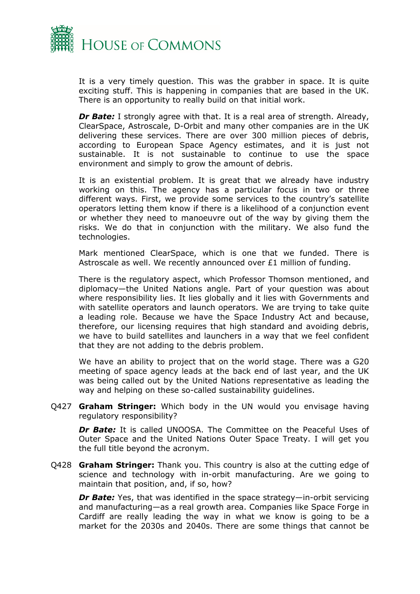

It is a very timely question. This was the grabber in space. It is quite exciting stuff. This is happening in companies that are based in the UK. There is an opportunity to really build on that initial work.

*Dr Bate:* I strongly agree with that. It is a real area of strength. Already, ClearSpace, Astroscale, D-Orbit and many other companies are in the UK delivering these services. There are over 300 million pieces of debris, according to European Space Agency estimates, and it is just not sustainable. It is not sustainable to continue to use the space environment and simply to grow the amount of debris.

It is an existential problem. It is great that we already have industry working on this. The agency has a particular focus in two or three different ways. First, we provide some services to the country's satellite operators letting them know if there is a likelihood of a conjunction event or whether they need to manoeuvre out of the way by giving them the risks. We do that in conjunction with the military. We also fund the technologies.

Mark mentioned ClearSpace, which is one that we funded. There is Astroscale as well. We recently announced over £1 million of funding.

There is the regulatory aspect, which Professor Thomson mentioned, and diplomacy—the United Nations angle. Part of your question was about where responsibility lies. It lies globally and it lies with Governments and with satellite operators and launch operators. We are trying to take quite a leading role. Because we have the Space Industry Act and because, therefore, our licensing requires that high standard and avoiding debris, we have to build satellites and launchers in a way that we feel confident that they are not adding to the debris problem.

We have an ability to project that on the world stage. There was a G20 meeting of space agency leads at the back end of last year, and the UK was being called out by the United Nations representative as leading the way and helping on these so-called sustainability guidelines.

Q427 **Graham Stringer:** Which body in the UN would you envisage having regulatory responsibility?

*Dr Bate:* It is called UNOOSA. The Committee on the Peaceful Uses of Outer Space and the United Nations Outer Space Treaty. I will get you the full title beyond the acronym.

Q428 **Graham Stringer:** Thank you. This country is also at the cutting edge of science and technology with in-orbit manufacturing. Are we going to maintain that position, and, if so, how?

*Dr Bate:* Yes, that was identified in the space strategy—in-orbit servicing and manufacturing—as a real growth area. Companies like Space Forge in Cardiff are really leading the way in what we know is going to be a market for the 2030s and 2040s. There are some things that cannot be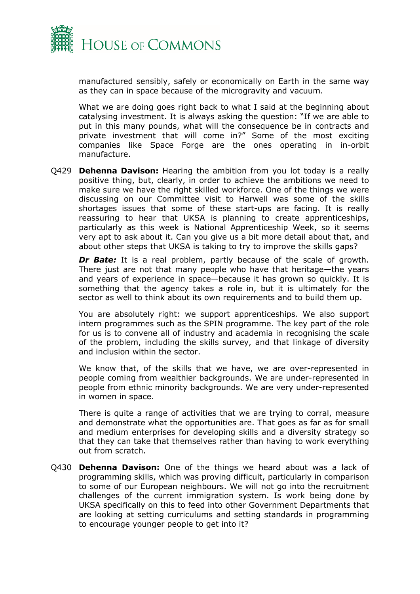

manufactured sensibly, safely or economically on Earth in the same way as they can in space because of the microgravity and vacuum.

What we are doing goes right back to what I said at the beginning about catalysing investment. It is always asking the question: "If we are able to put in this many pounds, what will the consequence be in contracts and private investment that will come in?" Some of the most exciting companies like Space Forge are the ones operating in in-orbit manufacture.

Q429 **Dehenna Davison:** Hearing the ambition from you lot today is a really positive thing, but, clearly, in order to achieve the ambitions we need to make sure we have the right skilled workforce. One of the things we were discussing on our Committee visit to Harwell was some of the skills shortages issues that some of these start-ups are facing. It is really reassuring to hear that UKSA is planning to create apprenticeships, particularly as this week is National Apprenticeship Week, so it seems very apt to ask about it. Can you give us a bit more detail about that, and about other steps that UKSA is taking to try to improve the skills gaps?

*Dr Bate:* It is a real problem, partly because of the scale of growth. There just are not that many people who have that heritage—the years and years of experience in space—because it has grown so quickly. It is something that the agency takes a role in, but it is ultimately for the sector as well to think about its own requirements and to build them up.

You are absolutely right: we support apprenticeships. We also support intern programmes such as the SPIN programme. The key part of the role for us is to convene all of industry and academia in recognising the scale of the problem, including the skills survey, and that linkage of diversity and inclusion within the sector.

We know that, of the skills that we have, we are over-represented in people coming from wealthier backgrounds. We are under-represented in people from ethnic minority backgrounds. We are very under-represented in women in space.

There is quite a range of activities that we are trying to corral, measure and demonstrate what the opportunities are. That goes as far as for small and medium enterprises for developing skills and a diversity strategy so that they can take that themselves rather than having to work everything out from scratch.

Q430 **Dehenna Davison:** One of the things we heard about was a lack of programming skills, which was proving difficult, particularly in comparison to some of our European neighbours. We will not go into the recruitment challenges of the current immigration system. Is work being done by UKSA specifically on this to feed into other Government Departments that are looking at setting curriculums and setting standards in programming to encourage younger people to get into it?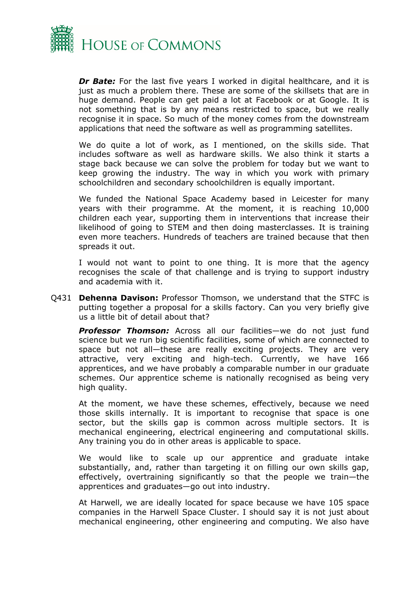

*Dr Bate:* For the last five years I worked in digital healthcare, and it is just as much a problem there. These are some of the skillsets that are in huge demand. People can get paid a lot at Facebook or at Google. It is not something that is by any means restricted to space, but we really recognise it in space. So much of the money comes from the downstream applications that need the software as well as programming satellites.

We do quite a lot of work, as I mentioned, on the skills side. That includes software as well as hardware skills. We also think it starts a stage back because we can solve the problem for today but we want to keep growing the industry. The way in which you work with primary schoolchildren and secondary schoolchildren is equally important.

We funded the National Space Academy based in Leicester for many years with their programme. At the moment, it is reaching 10,000 children each year, supporting them in interventions that increase their likelihood of going to STEM and then doing masterclasses. It is training even more teachers. Hundreds of teachers are trained because that then spreads it out.

I would not want to point to one thing. It is more that the agency recognises the scale of that challenge and is trying to support industry and academia with it.

Q431 **Dehenna Davison:** Professor Thomson, we understand that the STFC is putting together a proposal for a skills factory. Can you very briefly give us a little bit of detail about that?

**Professor Thomson:** Across all our facilities—we do not just fund science but we run big scientific facilities, some of which are connected to space but not all—these are really exciting projects. They are very attractive, very exciting and high-tech. Currently, we have 166 apprentices, and we have probably a comparable number in our graduate schemes. Our apprentice scheme is nationally recognised as being very high quality.

At the moment, we have these schemes, effectively, because we need those skills internally. It is important to recognise that space is one sector, but the skills gap is common across multiple sectors. It is mechanical engineering, electrical engineering and computational skills. Any training you do in other areas is applicable to space.

We would like to scale up our apprentice and graduate intake substantially, and, rather than targeting it on filling our own skills gap, effectively, overtraining significantly so that the people we train—the apprentices and graduates—go out into industry.

At Harwell, we are ideally located for space because we have 105 space companies in the Harwell Space Cluster. I should say it is not just about mechanical engineering, other engineering and computing. We also have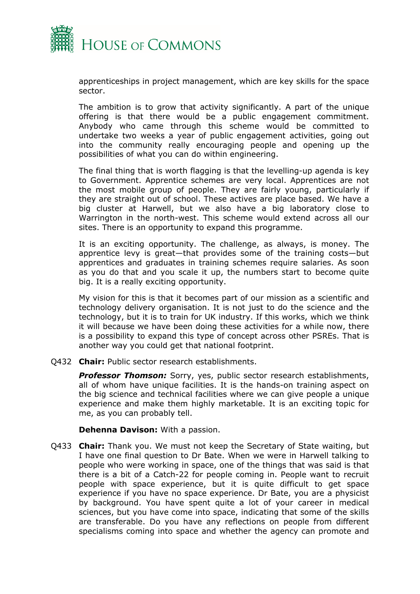

apprenticeships in project management, which are key skills for the space sector.

The ambition is to grow that activity significantly. A part of the unique offering is that there would be a public engagement commitment. Anybody who came through this scheme would be committed to undertake two weeks a year of public engagement activities, going out into the community really encouraging people and opening up the possibilities of what you can do within engineering.

The final thing that is worth flagging is that the levelling-up agenda is key to Government. Apprentice schemes are very local. Apprentices are not the most mobile group of people. They are fairly young, particularly if they are straight out of school. These actives are place based. We have a big cluster at Harwell, but we also have a big laboratory close to Warrington in the north-west. This scheme would extend across all our sites. There is an opportunity to expand this programme.

It is an exciting opportunity. The challenge, as always, is money. The apprentice levy is great—that provides some of the training costs—but apprentices and graduates in training schemes require salaries. As soon as you do that and you scale it up, the numbers start to become quite big. It is a really exciting opportunity.

My vision for this is that it becomes part of our mission as a scientific and technology delivery organisation. It is not just to do the science and the technology, but it is to train for UK industry. If this works, which we think it will because we have been doing these activities for a while now, there is a possibility to expand this type of concept across other PSREs. That is another way you could get that national footprint.

Q432 **Chair:** Public sector research establishments.

*Professor Thomson:* Sorry, yes, public sector research establishments, all of whom have unique facilities. It is the hands-on training aspect on the big science and technical facilities where we can give people a unique experience and make them highly marketable. It is an exciting topic for me, as you can probably tell.

**Dehenna Davison:** With a passion.

Q433 **Chair:** Thank you. We must not keep the Secretary of State waiting, but I have one final question to Dr Bate. When we were in Harwell talking to people who were working in space, one of the things that was said is that there is a bit of a Catch-22 for people coming in. People want to recruit people with space experience, but it is quite difficult to get space experience if you have no space experience. Dr Bate, you are a physicist by background. You have spent quite a lot of your career in medical sciences, but you have come into space, indicating that some of the skills are transferable. Do you have any reflections on people from different specialisms coming into space and whether the agency can promote and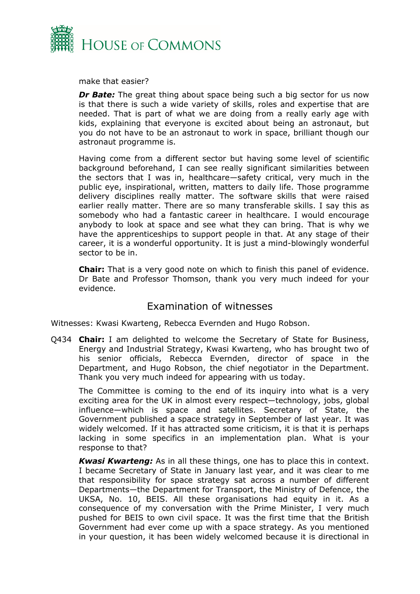

make that easier?

*Dr Bate:* The great thing about space being such a big sector for us now is that there is such a wide variety of skills, roles and expertise that are needed. That is part of what we are doing from a really early age with kids, explaining that everyone is excited about being an astronaut, but you do not have to be an astronaut to work in space, brilliant though our astronaut programme is.

Having come from a different sector but having some level of scientific background beforehand, I can see really significant similarities between the sectors that I was in, healthcare—safety critical, very much in the public eye, inspirational, written, matters to daily life. Those programme delivery disciplines really matter. The software skills that were raised earlier really matter. There are so many transferable skills. I say this as somebody who had a fantastic career in healthcare. I would encourage anybody to look at space and see what they can bring. That is why we have the apprenticeships to support people in that. At any stage of their career, it is a wonderful opportunity. It is just a mind-blowingly wonderful sector to be in.

**Chair:** That is a very good note on which to finish this panel of evidence. Dr Bate and Professor Thomson, thank you very much indeed for your evidence.

## Examination of witnesses

Witnesses: Kwasi Kwarteng, Rebecca Evernden and Hugo Robson.

Q434 **Chair:** I am delighted to welcome the Secretary of State for Business, Energy and Industrial Strategy, Kwasi Kwarteng, who has brought two of his senior officials, Rebecca Evernden, director of space in the Department, and Hugo Robson, the chief negotiator in the Department. Thank you very much indeed for appearing with us today.

The Committee is coming to the end of its inquiry into what is a very exciting area for the UK in almost every respect—technology, jobs, global influence—which is space and satellites. Secretary of State, the Government published a space strategy in September of last year. It was widely welcomed. If it has attracted some criticism, it is that it is perhaps lacking in some specifics in an implementation plan. What is your response to that?

*Kwasi Kwarteng:* As in all these things, one has to place this in context. I became Secretary of State in January last year, and it was clear to me that responsibility for space strategy sat across a number of different Departments—the Department for Transport, the Ministry of Defence, the UKSA, No. 10, BEIS. All these organisations had equity in it. As a consequence of my conversation with the Prime Minister, I very much pushed for BEIS to own civil space. It was the first time that the British Government had ever come up with a space strategy. As you mentioned in your question, it has been widely welcomed because it is directional in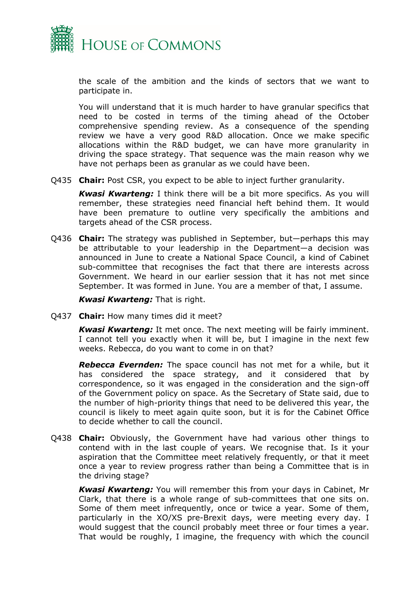

the scale of the ambition and the kinds of sectors that we want to participate in.

You will understand that it is much harder to have granular specifics that need to be costed in terms of the timing ahead of the October comprehensive spending review. As a consequence of the spending review we have a very good R&D allocation. Once we make specific allocations within the R&D budget, we can have more granularity in driving the space strategy. That sequence was the main reason why we have not perhaps been as granular as we could have been.

Q435 **Chair:** Post CSR, you expect to be able to inject further granularity.

*Kwasi Kwarteng:* I think there will be a bit more specifics. As you will remember, these strategies need financial heft behind them. It would have been premature to outline very specifically the ambitions and targets ahead of the CSR process.

Q436 **Chair:** The strategy was published in September, but—perhaps this may be attributable to your leadership in the Department—a decision was announced in June to create a National Space Council, a kind of Cabinet sub-committee that recognises the fact that there are interests across Government. We heard in our earlier session that it has not met since September. It was formed in June. You are a member of that, I assume.

*Kwasi Kwarteng:* That is right.

Q437 **Chair:** How many times did it meet?

*Kwasi Kwarteng:* It met once. The next meeting will be fairly imminent. I cannot tell you exactly when it will be, but I imagine in the next few weeks. Rebecca, do you want to come in on that?

*Rebecca Evernden:* The space council has not met for a while, but it has considered the space strategy, and it considered that by correspondence, so it was engaged in the consideration and the sign-off of the Government policy on space. As the Secretary of State said, due to the number of high-priority things that need to be delivered this year, the council is likely to meet again quite soon, but it is for the Cabinet Office to decide whether to call the council.

Q438 **Chair:** Obviously, the Government have had various other things to contend with in the last couple of years. We recognise that. Is it your aspiration that the Committee meet relatively frequently, or that it meet once a year to review progress rather than being a Committee that is in the driving stage?

*Kwasi Kwarteng:* You will remember this from your days in Cabinet, Mr Clark, that there is a whole range of sub-committees that one sits on. Some of them meet infrequently, once or twice a year. Some of them, particularly in the XO/XS pre-Brexit days, were meeting every day. I would suggest that the council probably meet three or four times a year. That would be roughly, I imagine, the frequency with which the council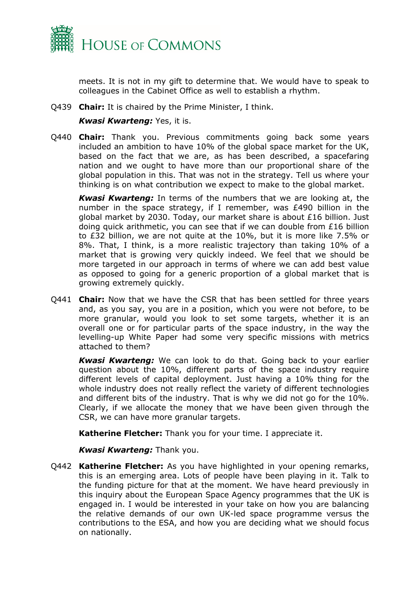

meets. It is not in my gift to determine that. We would have to speak to colleagues in the Cabinet Office as well to establish a rhythm.

Q439 **Chair:** It is chaired by the Prime Minister, I think.

## *Kwasi Kwarteng:* Yes, it is.

Q440 **Chair:** Thank you. Previous commitments going back some years included an ambition to have 10% of the global space market for the UK, based on the fact that we are, as has been described, a spacefaring nation and we ought to have more than our proportional share of the global population in this. That was not in the strategy. Tell us where your thinking is on what contribution we expect to make to the global market.

*Kwasi Kwarteng:* In terms of the numbers that we are looking at, the number in the space strategy, if I remember, was £490 billion in the global market by 2030. Today, our market share is about £16 billion. Just doing quick arithmetic, you can see that if we can double from £16 billion to £32 billion, we are not quite at the 10%, but it is more like 7.5% or 8%. That, I think, is a more realistic trajectory than taking 10% of a market that is growing very quickly indeed. We feel that we should be more targeted in our approach in terms of where we can add best value as opposed to going for a generic proportion of a global market that is growing extremely quickly.

Q441 **Chair:** Now that we have the CSR that has been settled for three years and, as you say, you are in a position, which you were not before, to be more granular, would you look to set some targets, whether it is an overall one or for particular parts of the space industry, in the way the levelling-up White Paper had some very specific missions with metrics attached to them?

*Kwasi Kwarteng:* We can look to do that. Going back to your earlier question about the 10%, different parts of the space industry require different levels of capital deployment. Just having a 10% thing for the whole industry does not really reflect the variety of different technologies and different bits of the industry. That is why we did not go for the 10%. Clearly, if we allocate the money that we have been given through the CSR, we can have more granular targets.

**Katherine Fletcher:** Thank you for your time. I appreciate it.

*Kwasi Kwarteng:* Thank you.

Q442 **Katherine Fletcher:** As you have highlighted in your opening remarks, this is an emerging area. Lots of people have been playing in it. Talk to the funding picture for that at the moment. We have heard previously in this inquiry about the European Space Agency programmes that the UK is engaged in. I would be interested in your take on how you are balancing the relative demands of our own UK-led space programme versus the contributions to the ESA, and how you are deciding what we should focus on nationally.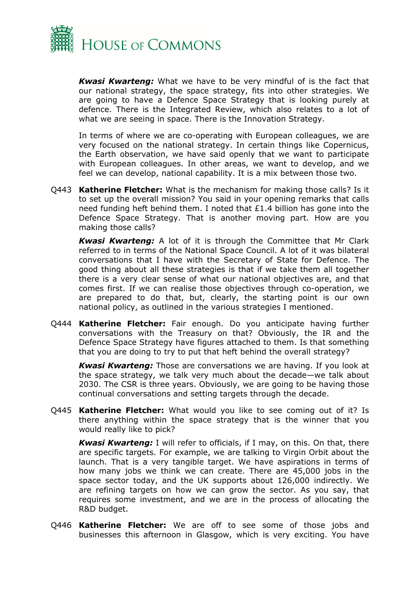

*Kwasi Kwarteng:* What we have to be very mindful of is the fact that our national strategy, the space strategy, fits into other strategies. We are going to have a Defence Space Strategy that is looking purely at defence. There is the Integrated Review, which also relates to a lot of what we are seeing in space. There is the Innovation Strategy.

In terms of where we are co-operating with European colleagues, we are very focused on the national strategy. In certain things like Copernicus, the Earth observation, we have said openly that we want to participate with European colleagues. In other areas, we want to develop, and we feel we can develop, national capability. It is a mix between those two.

Q443 **Katherine Fletcher:** What is the mechanism for making those calls? Is it to set up the overall mission? You said in your opening remarks that calls need funding heft behind them. I noted that £1.4 billion has gone into the Defence Space Strategy. That is another moving part. How are you making those calls?

*Kwasi Kwarteng:* A lot of it is through the Committee that Mr Clark referred to in terms of the National Space Council. A lot of it was bilateral conversations that I have with the Secretary of State for Defence. The good thing about all these strategies is that if we take them all together there is a very clear sense of what our national objectives are, and that comes first. If we can realise those objectives through co-operation, we are prepared to do that, but, clearly, the starting point is our own national policy, as outlined in the various strategies I mentioned.

Q444 **Katherine Fletcher:** Fair enough. Do you anticipate having further conversations with the Treasury on that? Obviously, the IR and the Defence Space Strategy have figures attached to them. Is that something that you are doing to try to put that heft behind the overall strategy?

*Kwasi Kwarteng:* Those are conversations we are having. If you look at the space strategy, we talk very much about the decade—we talk about 2030. The CSR is three years. Obviously, we are going to be having those continual conversations and setting targets through the decade.

Q445 **Katherine Fletcher:** What would you like to see coming out of it? Is there anything within the space strategy that is the winner that you would really like to pick?

*Kwasi Kwarteng:* I will refer to officials, if I may, on this. On that, there are specific targets. For example, we are talking to Virgin Orbit about the launch. That is a very tangible target. We have aspirations in terms of how many jobs we think we can create. There are 45,000 jobs in the space sector today, and the UK supports about 126,000 indirectly. We are refining targets on how we can grow the sector. As you say, that requires some investment, and we are in the process of allocating the R&D budget.

Q446 **Katherine Fletcher:** We are off to see some of those jobs and businesses this afternoon in Glasgow, which is very exciting. You have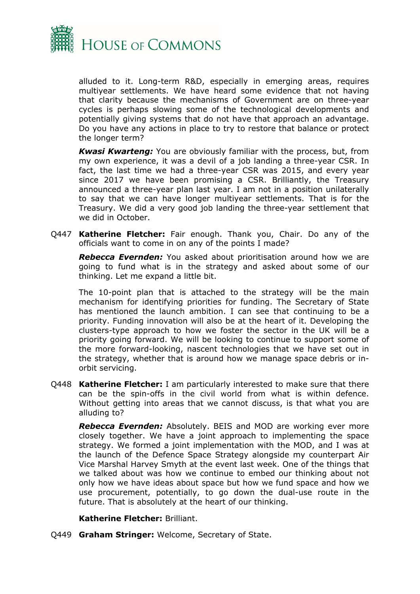

alluded to it. Long-term R&D, especially in emerging areas, requires multiyear settlements. We have heard some evidence that not having that clarity because the mechanisms of Government are on three-year cycles is perhaps slowing some of the technological developments and potentially giving systems that do not have that approach an advantage. Do you have any actions in place to try to restore that balance or protect the longer term?

*Kwasi Kwarteng:* You are obviously familiar with the process, but, from my own experience, it was a devil of a job landing a three-year CSR. In fact, the last time we had a three-year CSR was 2015, and every year since 2017 we have been promising a CSR. Brilliantly, the Treasury announced a three-year plan last year. I am not in a position unilaterally to say that we can have longer multiyear settlements. That is for the Treasury. We did a very good job landing the three-year settlement that we did in October.

Q447 **Katherine Fletcher:** Fair enough. Thank you, Chair. Do any of the officials want to come in on any of the points I made?

*Rebecca Evernden:* You asked about prioritisation around how we are going to fund what is in the strategy and asked about some of our thinking. Let me expand a little bit.

The 10-point plan that is attached to the strategy will be the main mechanism for identifying priorities for funding. The Secretary of State has mentioned the launch ambition. I can see that continuing to be a priority. Funding innovation will also be at the heart of it. Developing the clusters-type approach to how we foster the sector in the UK will be a priority going forward. We will be looking to continue to support some of the more forward-looking, nascent technologies that we have set out in the strategy, whether that is around how we manage space debris or inorbit servicing.

Q448 **Katherine Fletcher:** I am particularly interested to make sure that there can be the spin-offs in the civil world from what is within defence. Without getting into areas that we cannot discuss, is that what you are alluding to?

*Rebecca Evernden:* Absolutely. BEIS and MOD are working ever more closely together. We have a joint approach to implementing the space strategy. We formed a joint implementation with the MOD, and I was at the launch of the Defence Space Strategy alongside my counterpart Air Vice Marshal Harvey Smyth at the event last week. One of the things that we talked about was how we continue to embed our thinking about not only how we have ideas about space but how we fund space and how we use procurement, potentially, to go down the dual-use route in the future. That is absolutely at the heart of our thinking.

## **Katherine Fletcher:** Brilliant.

Q449 **Graham Stringer:** Welcome, Secretary of State.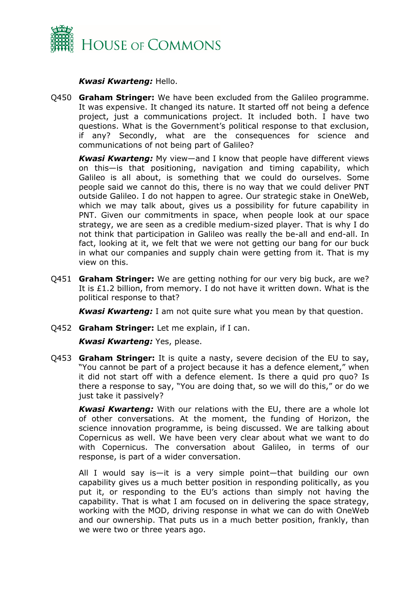

## *Kwasi Kwarteng:* Hello.

Q450 **Graham Stringer:** We have been excluded from the Galileo programme. It was expensive. It changed its nature. It started off not being a defence project, just a communications project. It included both. I have two questions. What is the Government's political response to that exclusion, if any? Secondly, what are the consequences for science and communications of not being part of Galileo?

*Kwasi Kwarteng:* My view—and I know that people have different views on this—is that positioning, navigation and timing capability, which Galileo is all about, is something that we could do ourselves. Some people said we cannot do this, there is no way that we could deliver PNT outside Galileo. I do not happen to agree. Our strategic stake in OneWeb, which we may talk about, gives us a possibility for future capability in PNT. Given our commitments in space, when people look at our space strategy, we are seen as a credible medium-sized player. That is why I do not think that participation in Galileo was really the be-all and end-all. In fact, looking at it, we felt that we were not getting our bang for our buck in what our companies and supply chain were getting from it. That is my view on this.

Q451 **Graham Stringer:** We are getting nothing for our very big buck, are we? It is £1.2 billion, from memory. I do not have it written down. What is the political response to that?

*Kwasi Kwarteng:* I am not quite sure what you mean by that question.

Q452 **Graham Stringer:** Let me explain, if I can.

*Kwasi Kwarteng:* Yes, please.

Q453 **Graham Stringer:** It is quite a nasty, severe decision of the EU to say, "You cannot be part of a project because it has a defence element," when it did not start off with a defence element. Is there a quid pro quo? Is there a response to say, "You are doing that, so we will do this," or do we just take it passively?

*Kwasi Kwarteng:* With our relations with the EU, there are a whole lot of other conversations. At the moment, the funding of Horizon, the science innovation programme, is being discussed. We are talking about Copernicus as well. We have been very clear about what we want to do with Copernicus. The conversation about Galileo, in terms of our response, is part of a wider conversation.

All I would say is—it is a very simple point—that building our own capability gives us a much better position in responding politically, as you put it, or responding to the EU's actions than simply not having the capability. That is what I am focused on in delivering the space strategy, working with the MOD, driving response in what we can do with OneWeb and our ownership. That puts us in a much better position, frankly, than we were two or three years ago.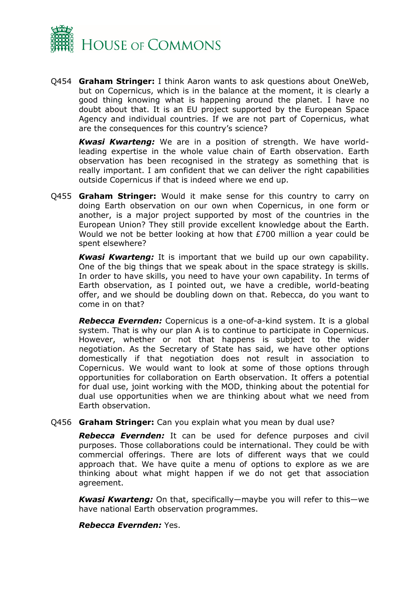

Q454 **Graham Stringer:** I think Aaron wants to ask questions about OneWeb, but on Copernicus, which is in the balance at the moment, it is clearly a good thing knowing what is happening around the planet. I have no doubt about that. It is an EU project supported by the European Space Agency and individual countries. If we are not part of Copernicus, what are the consequences for this country's science?

*Kwasi Kwarteng:* We are in a position of strength. We have worldleading expertise in the whole value chain of Earth observation. Earth observation has been recognised in the strategy as something that is really important. I am confident that we can deliver the right capabilities outside Copernicus if that is indeed where we end up.

Q455 **Graham Stringer:** Would it make sense for this country to carry on doing Earth observation on our own when Copernicus, in one form or another, is a major project supported by most of the countries in the European Union? They still provide excellent knowledge about the Earth. Would we not be better looking at how that £700 million a year could be spent elsewhere?

*Kwasi Kwarteng:* It is important that we build up our own capability. One of the big things that we speak about in the space strategy is skills. In order to have skills, you need to have your own capability. In terms of Earth observation, as I pointed out, we have a credible, world-beating offer, and we should be doubling down on that. Rebecca, do you want to come in on that?

*Rebecca Evernden:* Copernicus is a one-of-a-kind system. It is a global system. That is why our plan A is to continue to participate in Copernicus. However, whether or not that happens is subject to the wider negotiation. As the Secretary of State has said, we have other options domestically if that negotiation does not result in association to Copernicus. We would want to look at some of those options through opportunities for collaboration on Earth observation. It offers a potential for dual use, joint working with the MOD, thinking about the potential for dual use opportunities when we are thinking about what we need from Earth observation.

Q456 **Graham Stringer:** Can you explain what you mean by dual use?

*Rebecca Evernden:* It can be used for defence purposes and civil purposes. Those collaborations could be international. They could be with commercial offerings. There are lots of different ways that we could approach that. We have quite a menu of options to explore as we are thinking about what might happen if we do not get that association agreement.

*Kwasi Kwarteng:* On that, specifically—maybe you will refer to this—we have national Earth observation programmes.

*Rebecca Evernden:* Yes.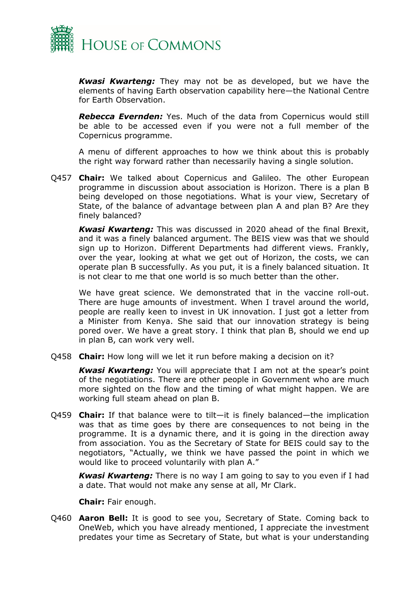

*Kwasi Kwarteng:* They may not be as developed, but we have the elements of having Earth observation capability here—the National Centre for Earth Observation.

*Rebecca Evernden:* Yes. Much of the data from Copernicus would still be able to be accessed even if you were not a full member of the Copernicus programme.

A menu of different approaches to how we think about this is probably the right way forward rather than necessarily having a single solution.

Q457 **Chair:** We talked about Copernicus and Galileo. The other European programme in discussion about association is Horizon. There is a plan B being developed on those negotiations. What is your view, Secretary of State, of the balance of advantage between plan A and plan B? Are they finely balanced?

*Kwasi Kwarteng:* This was discussed in 2020 ahead of the final Brexit, and it was a finely balanced argument. The BEIS view was that we should sign up to Horizon. Different Departments had different views. Frankly, over the year, looking at what we get out of Horizon, the costs, we can operate plan B successfully. As you put, it is a finely balanced situation. It is not clear to me that one world is so much better than the other.

We have great science. We demonstrated that in the vaccine roll-out. There are huge amounts of investment. When I travel around the world, people are really keen to invest in UK innovation. I just got a letter from a Minister from Kenya. She said that our innovation strategy is being pored over. We have a great story. I think that plan B, should we end up in plan B, can work very well.

Q458 **Chair:** How long will we let it run before making a decision on it?

*Kwasi Kwarteng:* You will appreciate that I am not at the spear's point of the negotiations. There are other people in Government who are much more sighted on the flow and the timing of what might happen. We are working full steam ahead on plan B.

Q459 **Chair:** If that balance were to tilt—it is finely balanced—the implication was that as time goes by there are consequences to not being in the programme. It is a dynamic there, and it is going in the direction away from association. You as the Secretary of State for BEIS could say to the negotiators, "Actually, we think we have passed the point in which we would like to proceed voluntarily with plan A."

*Kwasi Kwarteng:* There is no way I am going to say to you even if I had a date. That would not make any sense at all, Mr Clark.

**Chair:** Fair enough.

Q460 **Aaron Bell:** It is good to see you, Secretary of State. Coming back to OneWeb, which you have already mentioned, I appreciate the investment predates your time as Secretary of State, but what is your understanding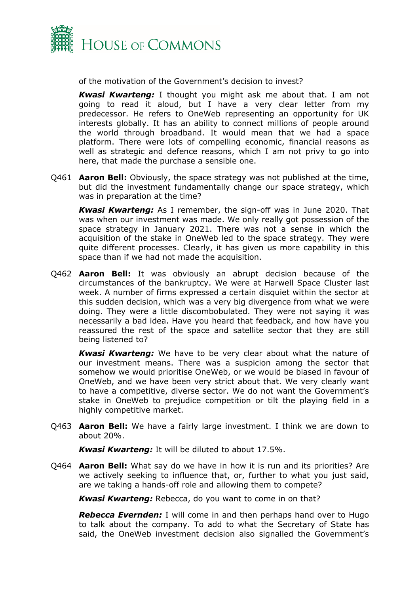

of the motivation of the Government's decision to invest?

*Kwasi Kwarteng:* I thought you might ask me about that. I am not going to read it aloud, but I have a very clear letter from my predecessor. He refers to OneWeb representing an opportunity for UK interests globally. It has an ability to connect millions of people around the world through broadband. It would mean that we had a space platform. There were lots of compelling economic, financial reasons as well as strategic and defence reasons, which I am not privy to go into here, that made the purchase a sensible one.

Q461 **Aaron Bell:** Obviously, the space strategy was not published at the time, but did the investment fundamentally change our space strategy, which was in preparation at the time?

*Kwasi Kwarteng:* As I remember, the sign-off was in June 2020. That was when our investment was made. We only really got possession of the space strategy in January 2021. There was not a sense in which the acquisition of the stake in OneWeb led to the space strategy. They were quite different processes. Clearly, it has given us more capability in this space than if we had not made the acquisition.

Q462 **Aaron Bell:** It was obviously an abrupt decision because of the circumstances of the bankruptcy. We were at Harwell Space Cluster last week. A number of firms expressed a certain disquiet within the sector at this sudden decision, which was a very big divergence from what we were doing. They were a little discombobulated. They were not saying it was necessarily a bad idea. Have you heard that feedback, and how have you reassured the rest of the space and satellite sector that they are still being listened to?

*Kwasi Kwarteng:* We have to be very clear about what the nature of our investment means. There was a suspicion among the sector that somehow we would prioritise OneWeb, or we would be biased in favour of OneWeb, and we have been very strict about that. We very clearly want to have a competitive, diverse sector. We do not want the Government's stake in OneWeb to prejudice competition or tilt the playing field in a highly competitive market.

Q463 **Aaron Bell:** We have a fairly large investment. I think we are down to about 20%.

*Kwasi Kwarteng:* It will be diluted to about 17.5%.

Q464 **Aaron Bell:** What say do we have in how it is run and its priorities? Are we actively seeking to influence that, or, further to what you just said, are we taking a hands-off role and allowing them to compete?

*Kwasi Kwarteng:* Rebecca, do you want to come in on that?

*Rebecca Evernden:* I will come in and then perhaps hand over to Hugo to talk about the company. To add to what the Secretary of State has said, the OneWeb investment decision also signalled the Government's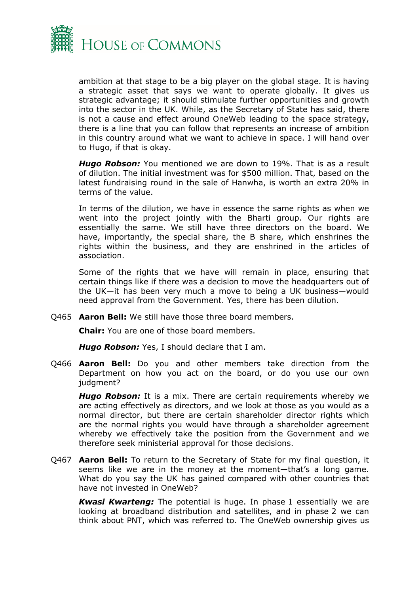

ambition at that stage to be a big player on the global stage. It is having a strategic asset that says we want to operate globally. It gives us strategic advantage; it should stimulate further opportunities and growth into the sector in the UK. While, as the Secretary of State has said, there is not a cause and effect around OneWeb leading to the space strategy, there is a line that you can follow that represents an increase of ambition in this country around what we want to achieve in space. I will hand over to Hugo, if that is okay.

*Hugo Robson:* You mentioned we are down to 19%. That is as a result of dilution. The initial investment was for \$500 million. That, based on the latest fundraising round in the sale of Hanwha, is worth an extra 20% in terms of the value.

In terms of the dilution, we have in essence the same rights as when we went into the project jointly with the Bharti group. Our rights are essentially the same. We still have three directors on the board. We have, importantly, the special share, the B share, which enshrines the rights within the business, and they are enshrined in the articles of association.

Some of the rights that we have will remain in place, ensuring that certain things like if there was a decision to move the headquarters out of the UK—it has been very much a move to being a UK business—would need approval from the Government. Yes, there has been dilution.

Q465 **Aaron Bell:** We still have those three board members.

**Chair:** You are one of those board members.

*Hugo Robson:* Yes, I should declare that I am.

Q466 **Aaron Bell:** Do you and other members take direction from the Department on how you act on the board, or do you use our own judament?

*Hugo Robson:* It is a mix. There are certain requirements whereby we are acting effectively as directors, and we look at those as you would as a normal director, but there are certain shareholder director rights which are the normal rights you would have through a shareholder agreement whereby we effectively take the position from the Government and we therefore seek ministerial approval for those decisions.

Q467 **Aaron Bell:** To return to the Secretary of State for my final question, it seems like we are in the money at the moment—that's a long game. What do you say the UK has gained compared with other countries that have not invested in OneWeb?

*Kwasi Kwarteng:* The potential is huge. In phase 1 essentially we are looking at broadband distribution and satellites, and in phase 2 we can think about PNT, which was referred to. The OneWeb ownership gives us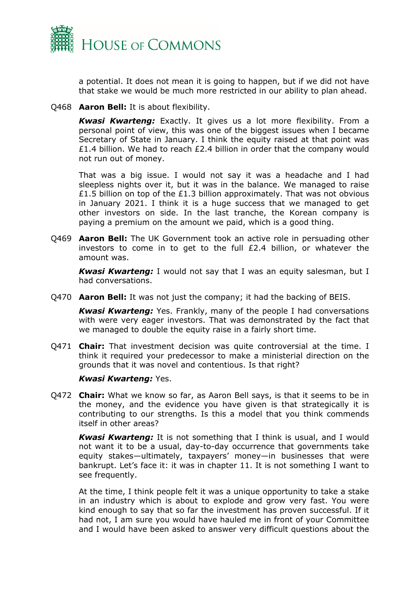

a potential. It does not mean it is going to happen, but if we did not have that stake we would be much more restricted in our ability to plan ahead.

Q468 **Aaron Bell:** It is about flexibility.

*Kwasi Kwarteng:* Exactly. It gives us a lot more flexibility. From a personal point of view, this was one of the biggest issues when I became Secretary of State in January. I think the equity raised at that point was £1.4 billion. We had to reach £2.4 billion in order that the company would not run out of money.

That was a big issue. I would not say it was a headache and I had sleepless nights over it, but it was in the balance. We managed to raise £1.5 billion on top of the £1.3 billion approximately. That was not obvious in January 2021. I think it is a huge success that we managed to get other investors on side. In the last tranche, the Korean company is paying a premium on the amount we paid, which is a good thing.

Q469 **Aaron Bell:** The UK Government took an active role in persuading other investors to come in to get to the full £2.4 billion, or whatever the amount was.

*Kwasi Kwarteng:* I would not say that I was an equity salesman, but I had conversations.

Q470 **Aaron Bell:** It was not just the company; it had the backing of BEIS.

*Kwasi Kwarteng:* Yes. Frankly, many of the people I had conversations with were very eager investors. That was demonstrated by the fact that we managed to double the equity raise in a fairly short time.

Q471 **Chair:** That investment decision was quite controversial at the time. I think it required your predecessor to make a ministerial direction on the grounds that it was novel and contentious. Is that right?

#### *Kwasi Kwarteng:* Yes.

Q472 **Chair:** What we know so far, as Aaron Bell says, is that it seems to be in the money, and the evidence you have given is that strategically it is contributing to our strengths. Is this a model that you think commends itself in other areas?

*Kwasi Kwarteng:* It is not something that I think is usual, and I would not want it to be a usual, day-to-day occurrence that governments take equity stakes—ultimately, taxpayers' money—in businesses that were bankrupt. Let's face it: it was in chapter 11. It is not something I want to see frequently.

At the time, I think people felt it was a unique opportunity to take a stake in an industry which is about to explode and grow very fast. You were kind enough to say that so far the investment has proven successful. If it had not, I am sure you would have hauled me in front of your Committee and I would have been asked to answer very difficult questions about the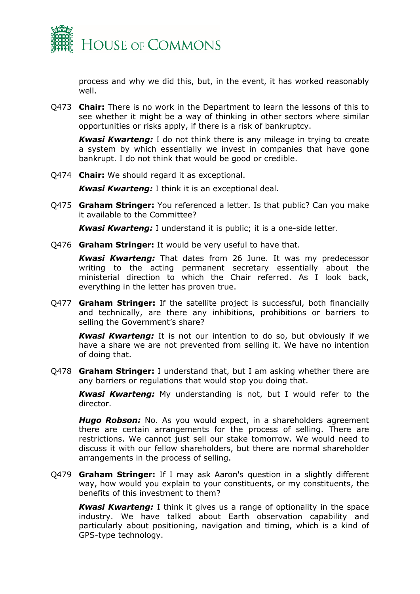

process and why we did this, but, in the event, it has worked reasonably well.

Q473 **Chair:** There is no work in the Department to learn the lessons of this to see whether it might be a way of thinking in other sectors where similar opportunities or risks apply, if there is a risk of bankruptcy.

*Kwasi Kwarteng:* I do not think there is any mileage in trying to create a system by which essentially we invest in companies that have gone bankrupt. I do not think that would be good or credible.

Q474 **Chair:** We should regard it as exceptional.

*Kwasi Kwarteng:* I think it is an exceptional deal.

Q475 **Graham Stringer:** You referenced a letter. Is that public? Can you make it available to the Committee?

*Kwasi Kwarteng:* I understand it is public; it is a one-side letter.

Q476 **Graham Stringer:** It would be very useful to have that.

*Kwasi Kwarteng:* That dates from 26 June. It was my predecessor writing to the acting permanent secretary essentially about the ministerial direction to which the Chair referred. As I look back, everything in the letter has proven true.

Q477 **Graham Stringer:** If the satellite project is successful, both financially and technically, are there any inhibitions, prohibitions or barriers to selling the Government's share?

*Kwasi Kwarteng:* It is not our intention to do so, but obviously if we have a share we are not prevented from selling it. We have no intention of doing that.

Q478 **Graham Stringer:** I understand that, but I am asking whether there are any barriers or regulations that would stop you doing that.

*Kwasi Kwarteng:* My understanding is not, but I would refer to the director.

*Hugo Robson:* No. As you would expect, in a shareholders agreement there are certain arrangements for the process of selling. There are restrictions. We cannot just sell our stake tomorrow. We would need to discuss it with our fellow shareholders, but there are normal shareholder arrangements in the process of selling.

Q479 **Graham Stringer:** If I may ask Aaron's question in a slightly different way, how would you explain to your constituents, or my constituents, the benefits of this investment to them?

*Kwasi Kwarteng:* I think it gives us a range of optionality in the space industry. We have talked about Earth observation capability and particularly about positioning, navigation and timing, which is a kind of GPS-type technology.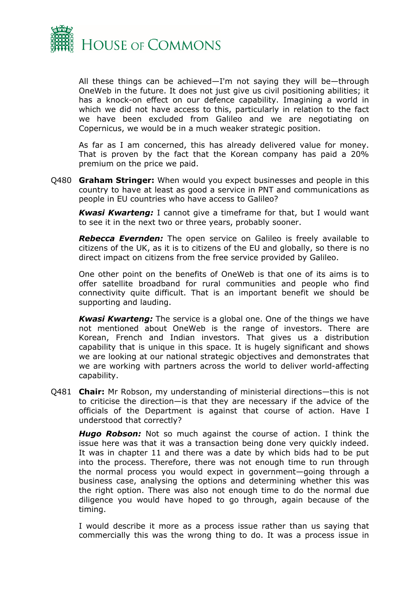

All these things can be achieved—I'm not saying they will be—through OneWeb in the future. It does not just give us civil positioning abilities; it has a knock-on effect on our defence capability. Imagining a world in which we did not have access to this, particularly in relation to the fact we have been excluded from Galileo and we are negotiating on Copernicus, we would be in a much weaker strategic position.

As far as I am concerned, this has already delivered value for money. That is proven by the fact that the Korean company has paid a 20% premium on the price we paid.

Q480 **Graham Stringer:** When would you expect businesses and people in this country to have at least as good a service in PNT and communications as people in EU countries who have access to Galileo?

*Kwasi Kwarteng:* I cannot give a timeframe for that, but I would want to see it in the next two or three years, probably sooner.

*Rebecca Evernden:* The open service on Galileo is freely available to citizens of the UK, as it is to citizens of the EU and globally, so there is no direct impact on citizens from the free service provided by Galileo.

One other point on the benefits of OneWeb is that one of its aims is to offer satellite broadband for rural communities and people who find connectivity quite difficult. That is an important benefit we should be supporting and lauding.

*Kwasi Kwarteng:* The service is a global one. One of the things we have not mentioned about OneWeb is the range of investors. There are Korean, French and Indian investors. That gives us a distribution capability that is unique in this space. It is hugely significant and shows we are looking at our national strategic objectives and demonstrates that we are working with partners across the world to deliver world-affecting capability.

Q481 **Chair:** Mr Robson, my understanding of ministerial directions—this is not to criticise the direction—is that they are necessary if the advice of the officials of the Department is against that course of action. Have I understood that correctly?

*Hugo Robson:* Not so much against the course of action. I think the issue here was that it was a transaction being done very quickly indeed. It was in chapter 11 and there was a date by which bids had to be put into the process. Therefore, there was not enough time to run through the normal process you would expect in government—going through a business case, analysing the options and determining whether this was the right option. There was also not enough time to do the normal due diligence you would have hoped to go through, again because of the timing.

I would describe it more as a process issue rather than us saying that commercially this was the wrong thing to do. It was a process issue in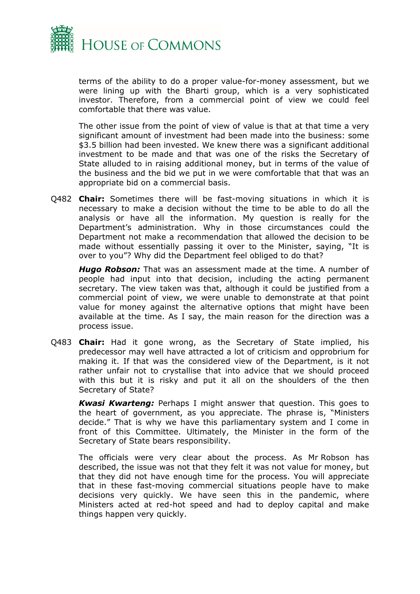

terms of the ability to do a proper value-for-money assessment, but we were lining up with the Bharti group, which is a very sophisticated investor. Therefore, from a commercial point of view we could feel comfortable that there was value.

The other issue from the point of view of value is that at that time a very significant amount of investment had been made into the business: some \$3.5 billion had been invested. We knew there was a significant additional investment to be made and that was one of the risks the Secretary of State alluded to in raising additional money, but in terms of the value of the business and the bid we put in we were comfortable that that was an appropriate bid on a commercial basis.

Q482 **Chair:** Sometimes there will be fast-moving situations in which it is necessary to make a decision without the time to be able to do all the analysis or have all the information. My question is really for the Department's administration. Why in those circumstances could the Department not make a recommendation that allowed the decision to be made without essentially passing it over to the Minister, saying, "It is over to you"? Why did the Department feel obliged to do that?

*Hugo Robson:* That was an assessment made at the time. A number of people had input into that decision, including the acting permanent secretary. The view taken was that, although it could be justified from a commercial point of view, we were unable to demonstrate at that point value for money against the alternative options that might have been available at the time. As I say, the main reason for the direction was a process issue.

Q483 **Chair:** Had it gone wrong, as the Secretary of State implied, his predecessor may well have attracted a lot of criticism and opprobrium for making it. If that was the considered view of the Department, is it not rather unfair not to crystallise that into advice that we should proceed with this but it is risky and put it all on the shoulders of the then Secretary of State?

*Kwasi Kwarteng:* Perhaps I might answer that question. This goes to the heart of government, as you appreciate. The phrase is, "Ministers decide." That is why we have this parliamentary system and I come in front of this Committee. Ultimately, the Minister in the form of the Secretary of State bears responsibility.

The officials were very clear about the process. As Mr Robson has described, the issue was not that they felt it was not value for money, but that they did not have enough time for the process. You will appreciate that in these fast-moving commercial situations people have to make decisions very quickly. We have seen this in the pandemic, where Ministers acted at red-hot speed and had to deploy capital and make things happen very quickly.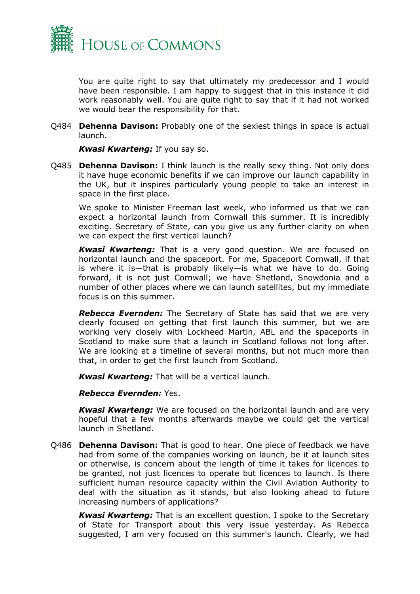

You are quite right to say that ultimately my predecessor and I would have been responsible. I am happy to suggest that in this instance it did work reasonably well. You are quite right to say that if it had not worked we would bear the responsibility for that.

Q484 **Dehenna Davison:** Probably one of the sexiest things in space is actual launch.

*Kwasi Kwarteng:* If you say so.

Q485 **Dehenna Davison:** I think launch is the really sexy thing. Not only does it have huge economic benefits if we can improve our launch capability in the UK, but it inspires particularly young people to take an interest in space in the first place.

We spoke to Minister Freeman last week, who informed us that we can expect a horizontal launch from Cornwall this summer. It is incredibly exciting. Secretary of State, can you give us any further clarity on when we can expect the first vertical launch?

*Kwasi Kwarteng:* That is a very good question. We are focused on horizontal launch and the spaceport. For me, Spaceport Cornwall, if that is where it is—that is probably likely—is what we have to do. Going forward, it is not just Cornwall; we have Shetland, Snowdonia and a number of other places where we can launch satellites, but my immediate focus is on this summer.

*Rebecca Evernden:* The Secretary of State has said that we are very clearly focused on getting that first launch this summer, but we are working very closely with Lockheed Martin, ABL and the spaceports in Scotland to make sure that a launch in Scotland follows not long after. We are looking at a timeline of several months, but not much more than that, in order to get the first launch from Scotland.

*Kwasi Kwarteng:* That will be a vertical launch.

*Rebecca Evernden:* Yes.

*Kwasi Kwarteng:* We are focused on the horizontal launch and are very hopeful that a few months afterwards maybe we could get the vertical launch in Shetland.

Q486 **Dehenna Davison:** That is good to hear. One piece of feedback we have had from some of the companies working on launch, be it at launch sites or otherwise, is concern about the length of time it takes for licences to be granted, not just licences to operate but licences to launch. Is there sufficient human resource capacity within the Civil Aviation Authority to deal with the situation as it stands, but also looking ahead to future increasing numbers of applications?

*Kwasi Kwarteng:* That is an excellent question. I spoke to the Secretary of State for Transport about this very issue yesterday. As Rebecca suggested, I am very focused on this summer's launch. Clearly, we had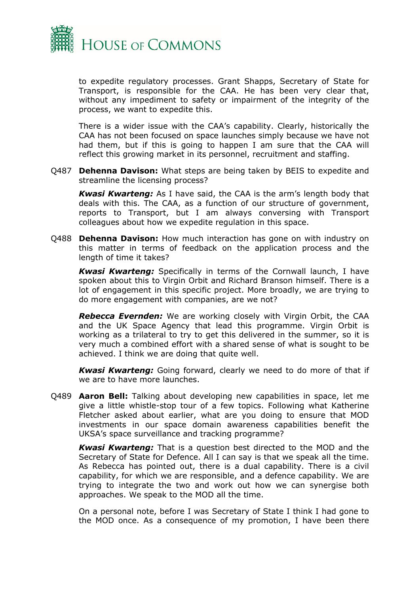

to expedite regulatory processes. Grant Shapps, Secretary of State for Transport, is responsible for the CAA. He has been very clear that, without any impediment to safety or impairment of the integrity of the process, we want to expedite this.

There is a wider issue with the CAA's capability. Clearly, historically the CAA has not been focused on space launches simply because we have not had them, but if this is going to happen I am sure that the CAA will reflect this growing market in its personnel, recruitment and staffing.

Q487 **Dehenna Davison:** What steps are being taken by BEIS to expedite and streamline the licensing process?

*Kwasi Kwarteng:* As I have said, the CAA is the arm's length body that deals with this. The CAA, as a function of our structure of government, reports to Transport, but I am always conversing with Transport colleagues about how we expedite regulation in this space.

Q488 **Dehenna Davison:** How much interaction has gone on with industry on this matter in terms of feedback on the application process and the length of time it takes?

*Kwasi Kwarteng:* Specifically in terms of the Cornwall launch, I have spoken about this to Virgin Orbit and Richard Branson himself. There is a lot of engagement in this specific project. More broadly, we are trying to do more engagement with companies, are we not?

*Rebecca Evernden:* We are working closely with Virgin Orbit, the CAA and the UK Space Agency that lead this programme. Virgin Orbit is working as a trilateral to try to get this delivered in the summer, so it is very much a combined effort with a shared sense of what is sought to be achieved. I think we are doing that quite well.

*Kwasi Kwarteng:* Going forward, clearly we need to do more of that if we are to have more launches.

Q489 **Aaron Bell:** Talking about developing new capabilities in space, let me give a little whistle-stop tour of a few topics. Following what Katherine Fletcher asked about earlier, what are you doing to ensure that MOD investments in our space domain awareness capabilities benefit the UKSA's space surveillance and tracking programme?

*Kwasi Kwarteng:* That is a question best directed to the MOD and the Secretary of State for Defence. All I can say is that we speak all the time. As Rebecca has pointed out, there is a dual capability. There is a civil capability, for which we are responsible, and a defence capability. We are trying to integrate the two and work out how we can synergise both approaches. We speak to the MOD all the time.

On a personal note, before I was Secretary of State I think I had gone to the MOD once. As a consequence of my promotion, I have been there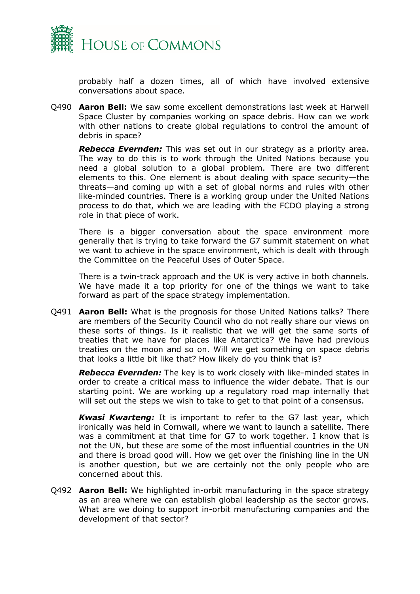

probably half a dozen times, all of which have involved extensive conversations about space.

Q490 **Aaron Bell:** We saw some excellent demonstrations last week at Harwell Space Cluster by companies working on space debris. How can we work with other nations to create global regulations to control the amount of debris in space?

*Rebecca Evernden:* This was set out in our strategy as a priority area. The way to do this is to work through the United Nations because you need a global solution to a global problem. There are two different elements to this. One element is about dealing with space security—the threats—and coming up with a set of global norms and rules with other like-minded countries. There is a working group under the United Nations process to do that, which we are leading with the FCDO playing a strong role in that piece of work.

There is a bigger conversation about the space environment more generally that is trying to take forward the G7 summit statement on what we want to achieve in the space environment, which is dealt with through the Committee on the Peaceful Uses of Outer Space.

There is a twin-track approach and the UK is very active in both channels. We have made it a top priority for one of the things we want to take forward as part of the space strategy implementation.

Q491 **Aaron Bell:** What is the prognosis for those United Nations talks? There are members of the Security Council who do not really share our views on these sorts of things. Is it realistic that we will get the same sorts of treaties that we have for places like Antarctica? We have had previous treaties on the moon and so on. Will we get something on space debris that looks a little bit like that? How likely do you think that is?

*Rebecca Evernden:* The key is to work closely with like-minded states in order to create a critical mass to influence the wider debate. That is our starting point. We are working up a regulatory road map internally that will set out the steps we wish to take to get to that point of a consensus.

*Kwasi Kwarteng:* It is important to refer to the G7 last year, which ironically was held in Cornwall, where we want to launch a satellite. There was a commitment at that time for G7 to work together. I know that is not the UN, but these are some of the most influential countries in the UN and there is broad good will. How we get over the finishing line in the UN is another question, but we are certainly not the only people who are concerned about this.

Q492 **Aaron Bell:** We highlighted in-orbit manufacturing in the space strategy as an area where we can establish global leadership as the sector grows. What are we doing to support in-orbit manufacturing companies and the development of that sector?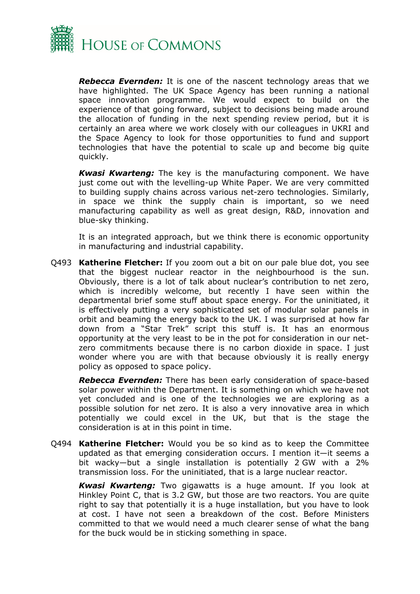

*Rebecca Evernden:* It is one of the nascent technology areas that we have highlighted. The UK Space Agency has been running a national space innovation programme. We would expect to build on the experience of that going forward, subject to decisions being made around the allocation of funding in the next spending review period, but it is certainly an area where we work closely with our colleagues in UKRI and the Space Agency to look for those opportunities to fund and support technologies that have the potential to scale up and become big quite quickly.

*Kwasi Kwarteng:* The key is the manufacturing component. We have just come out with the levelling-up White Paper. We are very committed to building supply chains across various net-zero technologies. Similarly, in space we think the supply chain is important, so we need manufacturing capability as well as great design, R&D, innovation and blue-sky thinking.

It is an integrated approach, but we think there is economic opportunity in manufacturing and industrial capability.

Q493 **Katherine Fletcher:** If you zoom out a bit on our pale blue dot, you see that the biggest nuclear reactor in the neighbourhood is the sun. Obviously, there is a lot of talk about nuclear's contribution to net zero, which is incredibly welcome, but recently I have seen within the departmental brief some stuff about space energy. For the uninitiated, it is effectively putting a very sophisticated set of modular solar panels in orbit and beaming the energy back to the UK. I was surprised at how far down from a "Star Trek" script this stuff is. It has an enormous opportunity at the very least to be in the pot for consideration in our netzero commitments because there is no carbon dioxide in space. I just wonder where you are with that because obviously it is really energy policy as opposed to space policy.

*Rebecca Evernden:* There has been early consideration of space-based solar power within the Department. It is something on which we have not yet concluded and is one of the technologies we are exploring as a possible solution for net zero. It is also a very innovative area in which potentially we could excel in the UK, but that is the stage the consideration is at in this point in time.

Q494 **Katherine Fletcher:** Would you be so kind as to keep the Committee updated as that emerging consideration occurs. I mention it—it seems a bit wacky—but a single installation is potentially 2 GW with a 2% transmission loss. For the uninitiated, that is a large nuclear reactor.

*Kwasi Kwarteng:* Two gigawatts is a huge amount. If you look at Hinkley Point C, that is 3.2 GW, but those are two reactors. You are quite right to say that potentially it is a huge installation, but you have to look at cost. I have not seen a breakdown of the cost. Before Ministers committed to that we would need a much clearer sense of what the bang for the buck would be in sticking something in space.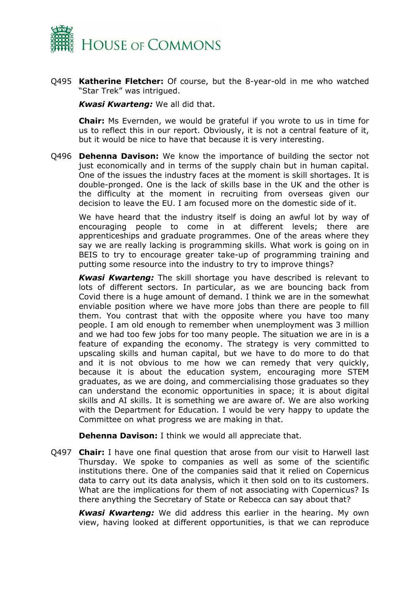

Q495 **Katherine Fletcher:** Of course, but the 8-year-old in me who watched "Star Trek" was intrigued.

*Kwasi Kwarteng:* We all did that.

**Chair:** Ms Evernden, we would be grateful if you wrote to us in time for us to reflect this in our report. Obviously, it is not a central feature of it, but it would be nice to have that because it is very interesting.

Q496 **Dehenna Davison:** We know the importance of building the sector not just economically and in terms of the supply chain but in human capital. One of the issues the industry faces at the moment is skill shortages. It is double-pronged. One is the lack of skills base in the UK and the other is the difficulty at the moment in recruiting from overseas given our decision to leave the EU. I am focused more on the domestic side of it.

We have heard that the industry itself is doing an awful lot by way of encouraging people to come in at different levels; there are apprenticeships and graduate programmes. One of the areas where they say we are really lacking is programming skills. What work is going on in BEIS to try to encourage greater take-up of programming training and putting some resource into the industry to try to improve things?

*Kwasi Kwarteng:* The skill shortage you have described is relevant to lots of different sectors. In particular, as we are bouncing back from Covid there is a huge amount of demand. I think we are in the somewhat enviable position where we have more jobs than there are people to fill them. You contrast that with the opposite where you have too many people. I am old enough to remember when unemployment was 3 million and we had too few jobs for too many people. The situation we are in is a feature of expanding the economy. The strategy is very committed to upscaling skills and human capital, but we have to do more to do that and it is not obvious to me how we can remedy that very quickly, because it is about the education system, encouraging more STEM graduates, as we are doing, and commercialising those graduates so they can understand the economic opportunities in space; it is about digital skills and AI skills. It is something we are aware of. We are also working with the Department for Education. I would be very happy to update the Committee on what progress we are making in that.

**Dehenna Davison:** I think we would all appreciate that.

Q497 **Chair:** I have one final question that arose from our visit to Harwell last Thursday. We spoke to companies as well as some of the scientific institutions there. One of the companies said that it relied on Copernicus data to carry out its data analysis, which it then sold on to its customers. What are the implications for them of not associating with Copernicus? Is there anything the Secretary of State or Rebecca can say about that?

*Kwasi Kwarteng:* We did address this earlier in the hearing. My own view, having looked at different opportunities, is that we can reproduce